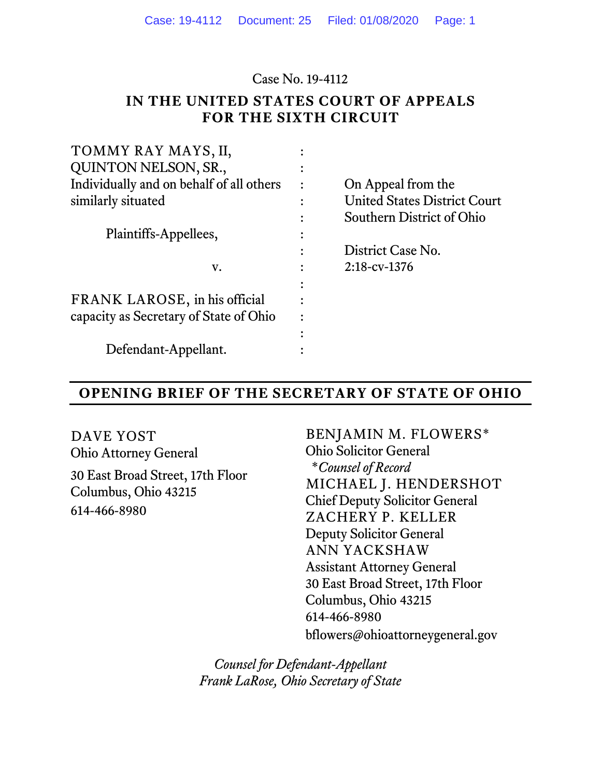Case No. 19-4112

### **IN THE UNITED STATES COURT OF APPEALS FOR THE SIXTH CIRCUIT**

| TOMMY RAY MAYS, II,                      |                                     |
|------------------------------------------|-------------------------------------|
| <b>QUINTON NELSON, SR.,</b>              |                                     |
| Individually and on behalf of all others | On Appeal from the                  |
| similarly situated                       | <b>United States District Court</b> |
|                                          | Southern District of Ohio           |
| Plaintiffs-Appellees,                    |                                     |
|                                          | District Case No.                   |
| V.                                       | $2:18$ -cv-1376                     |
|                                          |                                     |
| FRANK LAROSE, in his official            |                                     |
| capacity as Secretary of State of Ohio   |                                     |
|                                          |                                     |
| Defendant-Appellant.                     |                                     |
|                                          |                                     |

### **OPENING BRIEF OF THE SECRETARY OF STATE OF OHIO**

DAVE YOST Ohio Attorney General 30 East Broad Street, 17th Floor Columbus, Ohio 43215 614-466-8980

BENJAMIN M. FLOWERS\* Ohio Solicitor General \**Counsel of Record* MICHAEL J. HENDERSHOT Chief Deputy Solicitor General ZACHERY P. KELLER Deputy Solicitor General ANN YACKSHAW Assistant Attorney General 30 East Broad Street, 17th Floor Columbus, Ohio 43215 614-466-8980 bflowers@ohioattorneygeneral.gov

*Counsel for Defendant-Appellant Frank LaRose, Ohio Secretary of State*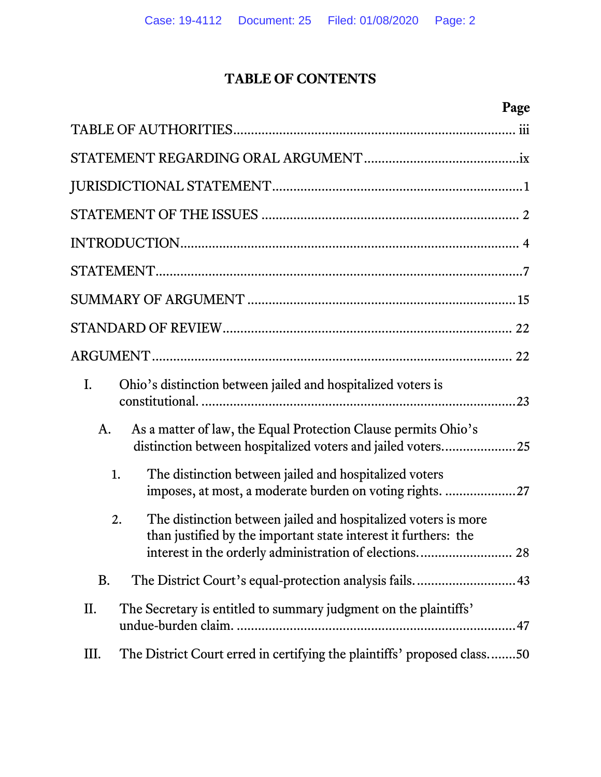## **TABLE OF CONTENTS**

| I.        | Ohio's distinction between jailed and hospitalized voters is                                                                                                                                |
|-----------|---------------------------------------------------------------------------------------------------------------------------------------------------------------------------------------------|
| A.        | As a matter of law, the Equal Protection Clause permits Ohio's<br>distinction between hospitalized voters and jailed voters25                                                               |
| 1.        | The distinction between jailed and hospitalized voters<br>imposes, at most, a moderate burden on voting rights. 27                                                                          |
| 2.        | The distinction between jailed and hospitalized voters is more<br>than justified by the important state interest it furthers: the<br>interest in the orderly administration of elections 28 |
| <b>B.</b> |                                                                                                                                                                                             |
| II.       | The Secretary is entitled to summary judgment on the plaintiffs'                                                                                                                            |
| Ш.        | The District Court erred in certifying the plaintiffs' proposed class50                                                                                                                     |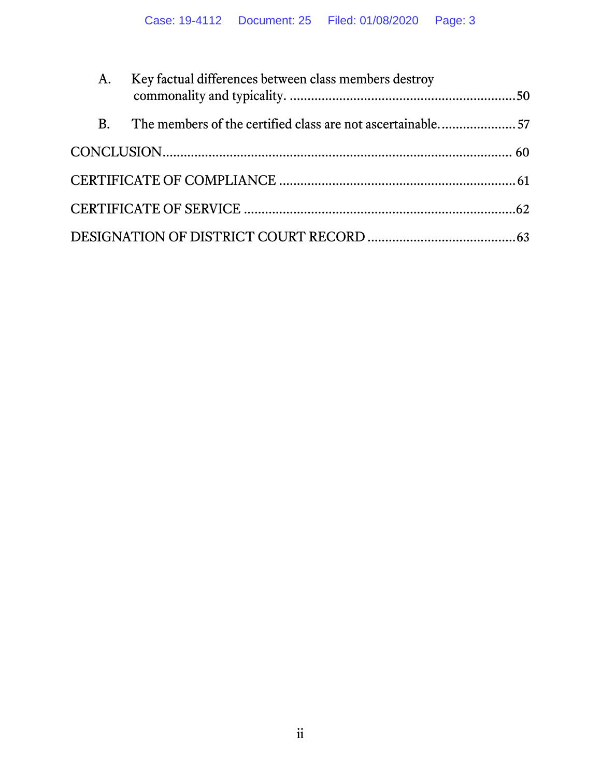| A.        | Key factual differences between class members destroy      |  |
|-----------|------------------------------------------------------------|--|
| <b>B.</b> | The members of the certified class are not ascertainable57 |  |
|           |                                                            |  |
|           |                                                            |  |
|           |                                                            |  |
|           |                                                            |  |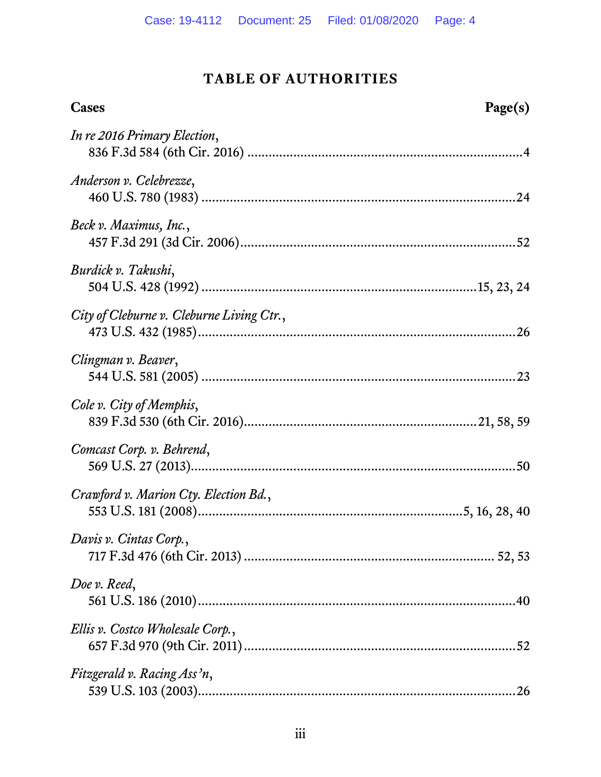## **TABLE OF AUTHORITIES**

<span id="page-3-0"></span>

| Cases<br>Page(s)                          |  |
|-------------------------------------------|--|
| In re 2016 Primary Election,              |  |
| Anderson v. Celebrezze,                   |  |
| Beck v. Maximus, Inc.,                    |  |
| Burdick v. Takushi,                       |  |
| City of Cleburne v. Cleburne Living Ctr., |  |
| Clingman v. Beaver,                       |  |
| Cole v. City of Memphis,                  |  |
| Comcast Corp. v. Behrend,                 |  |
| Crawford v. Marion Cty. Election Bd.,     |  |
| Davis v. Cintas Corp.,                    |  |
| Doe v. Reed,                              |  |
| Ellis v. Costco Wholesale Corp.,          |  |
| Fitzgerald v. Racing Ass'n,               |  |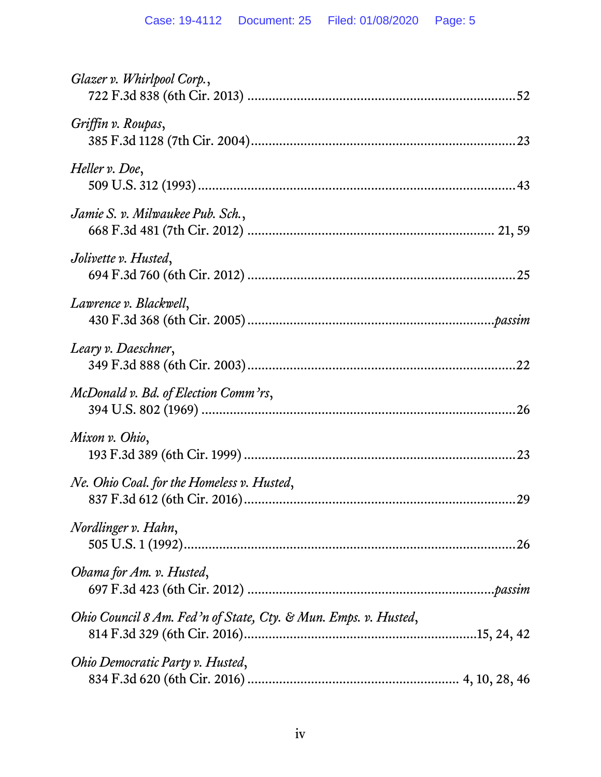| Glazer v. Whirlpool Corp.,                                      |
|-----------------------------------------------------------------|
| Griffin v. Roupas,                                              |
| Heller v. Doe,                                                  |
| Jamie S. v. Milwaukee Pub. Sch.,                                |
| Jolivette v. Husted,                                            |
| Lawrence v. Blackwell,                                          |
| Leary v. Daeschner,                                             |
| McDonald v. Bd. of Election Comm'rs,                            |
| Mixon v. Ohio,                                                  |
| Ne. Ohio Coal. for the Homeless v. Husted,                      |
| Nordlinger v. Hahn,                                             |
| Obama for Am. v. Husted,                                        |
| Ohio Council 8 Am. Fed'n of State, Cty. & Mun. Emps. v. Husted, |
| Ohio Democratic Party v. Husted,                                |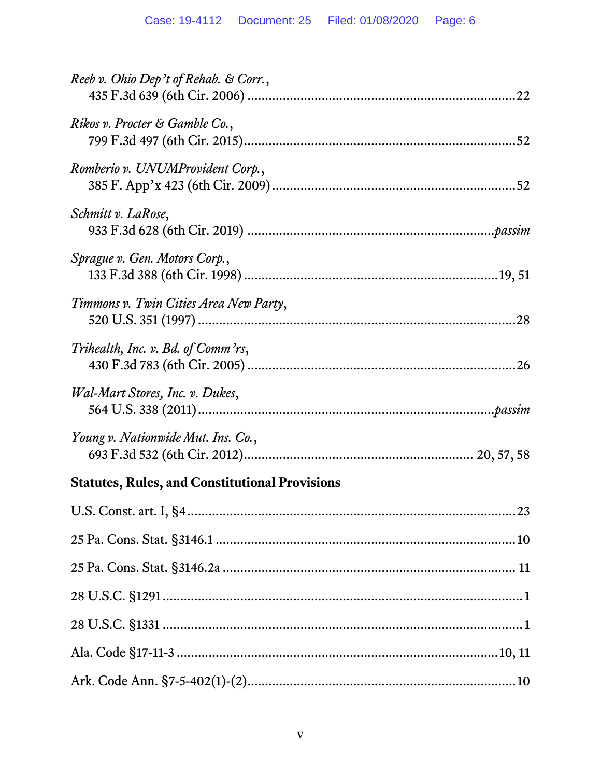| Reeb v. Ohio Dep't of Rehab. & Corr.,                 |
|-------------------------------------------------------|
| Rikos v. Procter & Gamble Co.,                        |
| Romberio v. UNUMProvident Corp.,                      |
| Schmitt v. LaRose,                                    |
| Sprague v. Gen. Motors Corp.,                         |
| Timmons v. Twin Cities Area New Party,                |
| Trihealth, Inc. v. Bd. of Comm'rs,                    |
| Wal-Mart Stores, Inc. v. Dukes,                       |
| Young v. Nationwide Mut. Ins. Co.,                    |
| <b>Statutes, Rules, and Constitutional Provisions</b> |
|                                                       |
|                                                       |
|                                                       |
|                                                       |
|                                                       |
|                                                       |
|                                                       |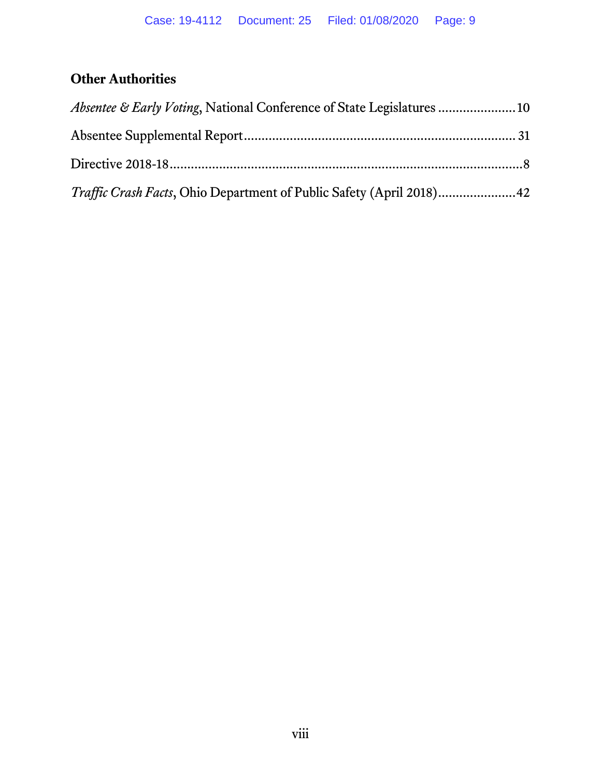# **Other Authorities**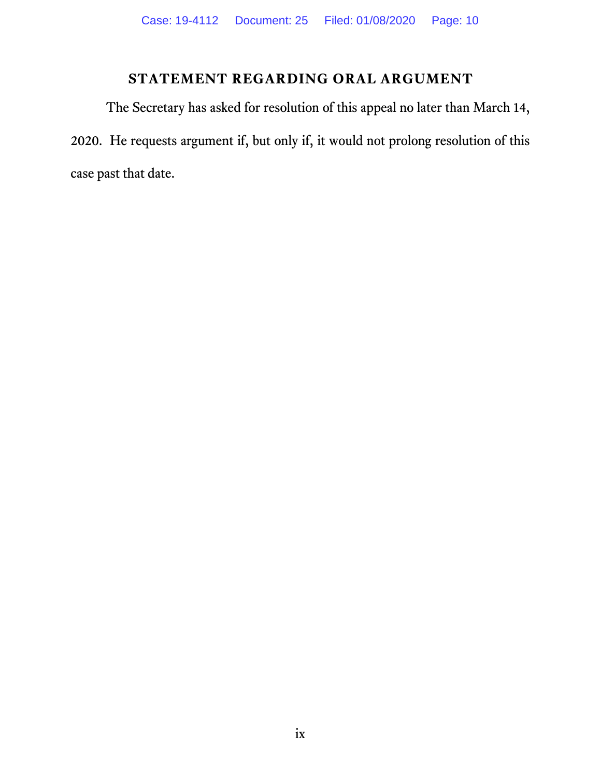## **STATEMENT REGARDING ORAL ARGUMENT**

<span id="page-9-0"></span>The Secretary has asked for resolution of this appeal no later than March 14, 2020. He requests argument if, but only if, it would not prolong resolution of this case past that date.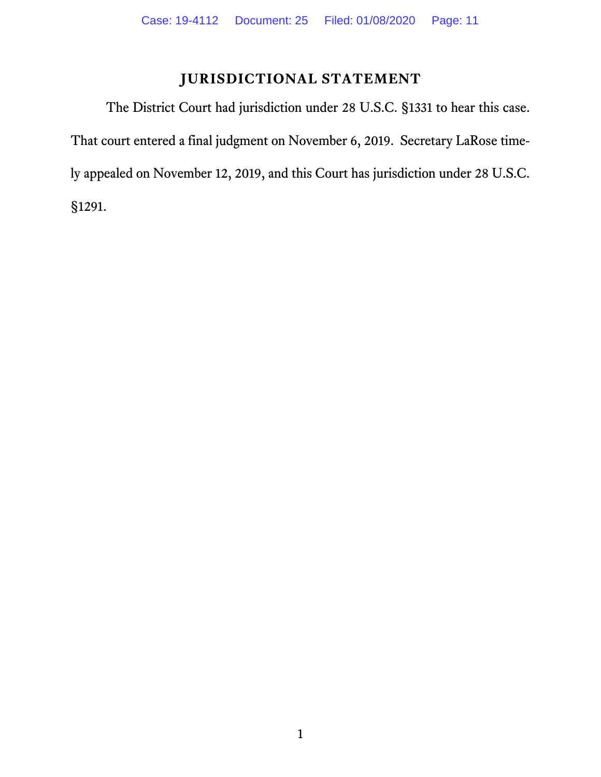## <span id="page-10-2"></span><span id="page-10-1"></span>**JURISDICTIONAL STATEMENT**

<span id="page-10-0"></span>The District Court had jurisdiction under 28 U.S.C. §1331 to hear this case. That court entered a final judgment on November 6, 2019. Secretary LaRose timely appealed on November 12, 2019, and this Court has jurisdiction under 28 U.S.C. §1291.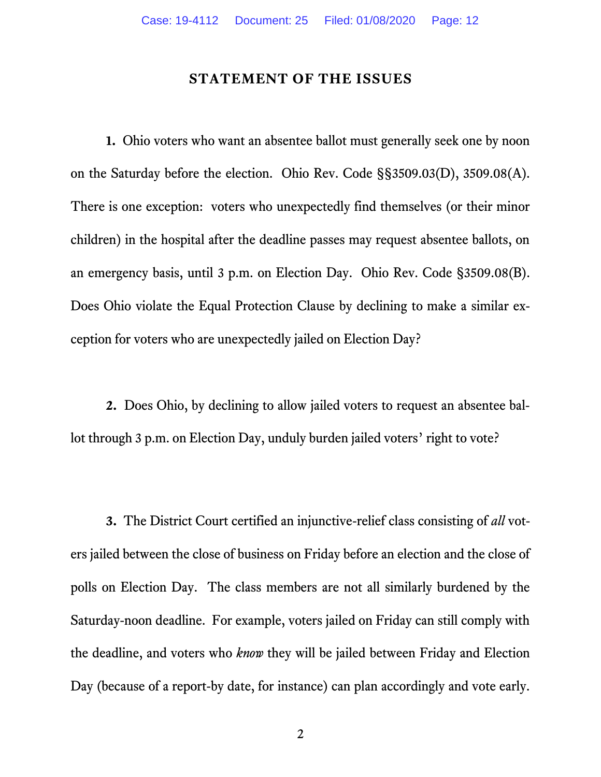#### <span id="page-11-2"></span><span id="page-11-1"></span>**STATEMENT OF THE ISSUES**

<span id="page-11-0"></span>**1.** Ohio voters who want an absentee ballot must generally seek one by noon on the Saturday before the election. Ohio Rev. Code §§3509.03(D), 3509.08(A). There is one exception: voters who unexpectedly find themselves (or their minor children) in the hospital after the deadline passes may request absentee ballots, on an emergency basis, until 3 p.m. on Election Day. Ohio Rev. Code §3509.08(B). Does Ohio violate the Equal Protection Clause by declining to make a similar exception for voters who are unexpectedly jailed on Election Day?

**2.** Does Ohio, by declining to allow jailed voters to request an absentee ballot through 3 p.m. on Election Day, unduly burden jailed voters' right to vote?

**3.** The District Court certified an injunctive-relief class consisting of *all* voters jailed between the close of business on Friday before an election and the close of polls on Election Day. The class members are not all similarly burdened by the Saturday-noon deadline. For example, voters jailed on Friday can still comply with the deadline, and voters who *know* they will be jailed between Friday and Election Day (because of a report-by date, for instance) can plan accordingly and vote early.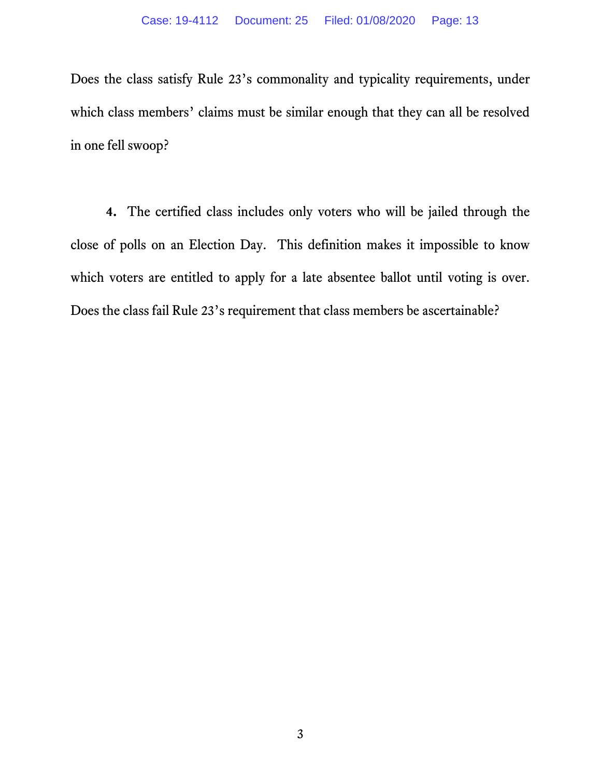<span id="page-12-0"></span>Does the class satisfy Rule 23's commonality and typicality requirements, under which class members' claims must be similar enough that they can all be resolved in one fell swoop?

**4.** The certified class includes only voters who will be jailed through the close of polls on an Election Day. This definition makes it impossible to know which voters are entitled to apply for a late absentee ballot until voting is over. Does the class fail Rule 23's requirement that class members be ascertainable?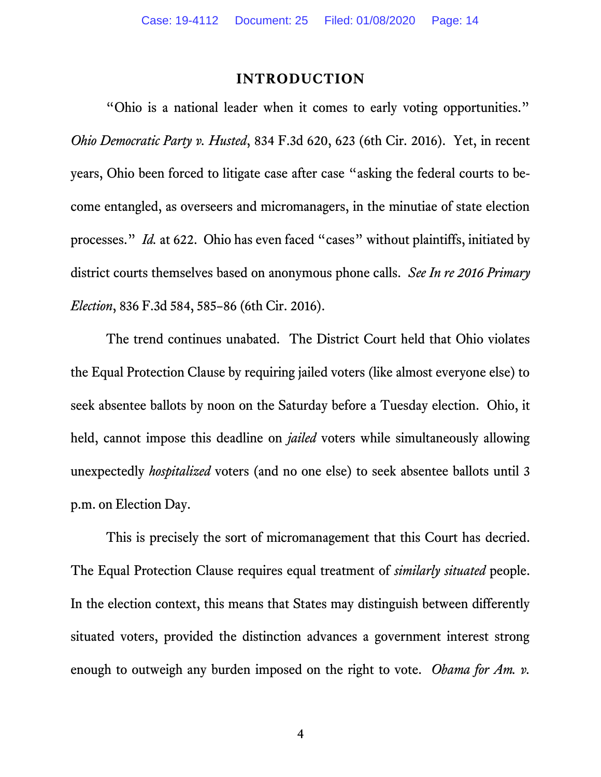#### <span id="page-13-1"></span>**INTRODUCTION**

<span id="page-13-3"></span><span id="page-13-0"></span>"Ohio is a national leader when it comes to early voting opportunities." *Ohio Democratic Party v. Husted*, 834 F.3d 620, 623 (6th Cir. 2016). Yet, in recent years, Ohio been forced to litigate case after case "asking the federal courts to become entangled, as overseers and micromanagers, in the minutiae of state election processes." *Id.* at 622. Ohio has even faced "cases" without plaintiffs, initiated by district courts themselves based on anonymous phone calls. *See In re 2016 Primary Election*, 836 F.3d 584, 585–86 (6th Cir. 2016).

The trend continues unabated. The District Court held that Ohio violates the Equal Protection Clause by requiring jailed voters (like almost everyone else) to seek absentee ballots by noon on the Saturday before a Tuesday election. Ohio, it held, cannot impose this deadline on *jailed* voters while simultaneously allowing unexpectedly *hospitalized* voters (and no one else) to seek absentee ballots until 3 p.m. on Election Day.

<span id="page-13-2"></span>This is precisely the sort of micromanagement that this Court has decried. The Equal Protection Clause requires equal treatment of *similarly situated* people. In the election context, this means that States may distinguish between differently situated voters, provided the distinction advances a government interest strong enough to outweigh any burden imposed on the right to vote. *Obama for Am. v.*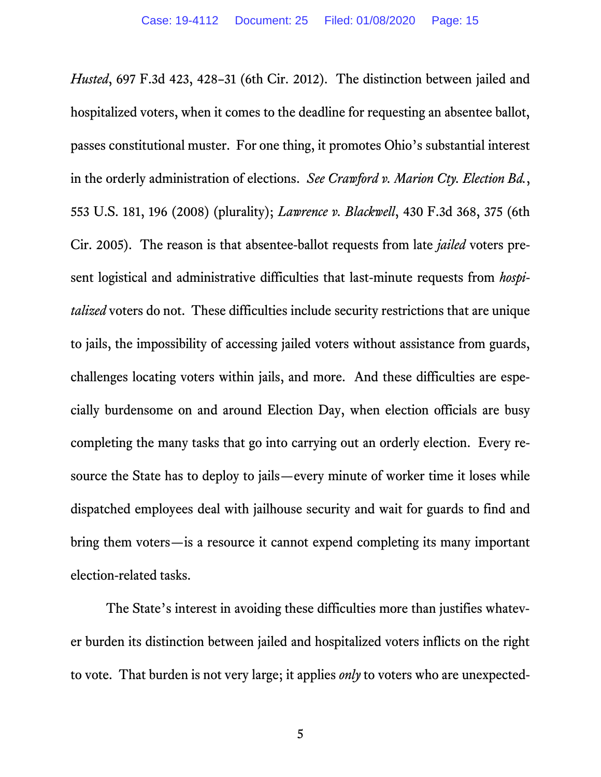<span id="page-14-1"></span><span id="page-14-0"></span>*Husted*, 697 F.3d 423, 428–31 (6th Cir. 2012). The distinction between jailed and hospitalized voters, when it comes to the deadline for requesting an absentee ballot, passes constitutional muster. For one thing, it promotes Ohio's substantial interest in the orderly administration of elections. *See Crawford v. Marion Cty. Election Bd.*, 553 U.S. 181, 196 (2008) (plurality); *Lawrence v. Blackwell*, 430 F.3d 368, 375 (6th Cir. 2005). The reason is that absentee-ballot requests from late *jailed* voters present logistical and administrative difficulties that last-minute requests from *hospitalized* voters do not. These difficulties include security restrictions that are unique to jails, the impossibility of accessing jailed voters without assistance from guards, challenges locating voters within jails, and more. And these difficulties are especially burdensome on and around Election Day, when election officials are busy completing the many tasks that go into carrying out an orderly election. Every resource the State has to deploy to jails—every minute of worker time it loses while dispatched employees deal with jailhouse security and wait for guards to find and bring them voters—is a resource it cannot expend completing its many important election-related tasks.

The State's interest in avoiding these difficulties more than justifies whatever burden its distinction between jailed and hospitalized voters inflicts on the right to vote. That burden is not very large; it applies *only* to voters who are unexpected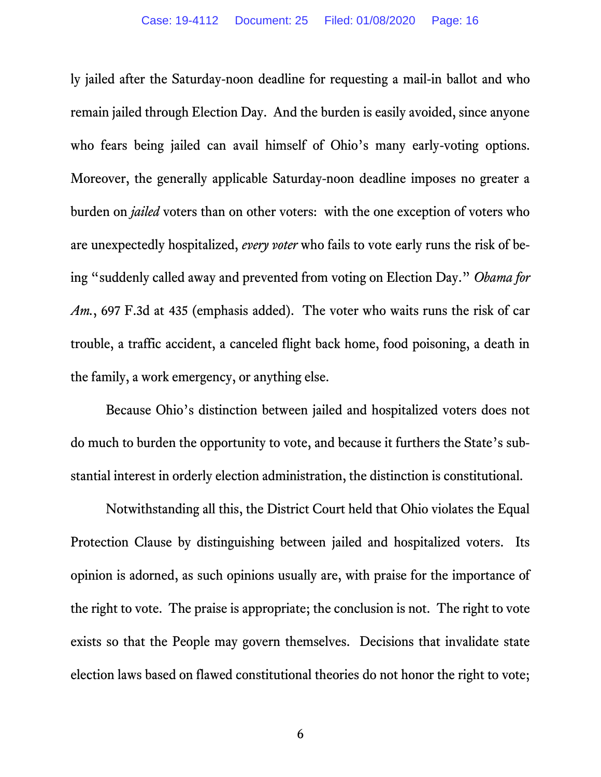ly jailed after the Saturday-noon deadline for requesting a mail-in ballot and who remain jailed through Election Day. And the burden is easily avoided, since anyone who fears being jailed can avail himself of Ohio's many early-voting options. Moreover, the generally applicable Saturday-noon deadline imposes no greater a burden on *jailed* voters than on other voters: with the one exception of voters who are unexpectedly hospitalized, *every voter* who fails to vote early runs the risk of being "suddenly called away and prevented from voting on Election Day." *Obama for Am.*, 697 F.3d at 435 (emphasis added). The voter who waits runs the risk of car trouble, a traffic accident, a canceled flight back home, food poisoning, a death in the family, a work emergency, or anything else.

Because Ohio's distinction between jailed and hospitalized voters does not do much to burden the opportunity to vote, and because it furthers the State's substantial interest in orderly election administration, the distinction is constitutional.

Notwithstanding all this, the District Court held that Ohio violates the Equal Protection Clause by distinguishing between jailed and hospitalized voters. Its opinion is adorned, as such opinions usually are, with praise for the importance of the right to vote. The praise is appropriate; the conclusion is not. The right to vote exists so that the People may govern themselves. Decisions that invalidate state election laws based on flawed constitutional theories do not honor the right to vote;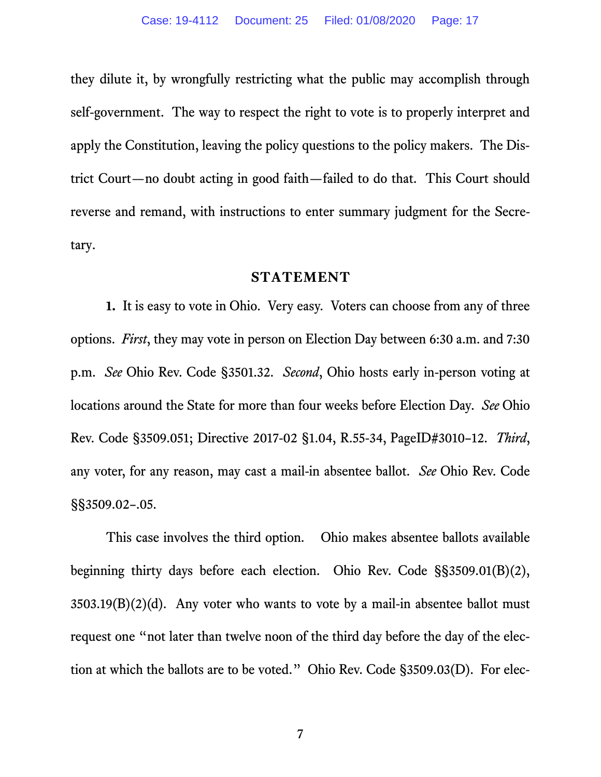they dilute it, by wrongfully restricting what the public may accomplish through self-government. The way to respect the right to vote is to properly interpret and apply the Constitution, leaving the policy questions to the policy makers. The District Court—no doubt acting in good faith—failed to do that. This Court should reverse and remand, with instructions to enter summary judgment for the Secretary.

#### <span id="page-16-8"></span><span id="page-16-4"></span>**STATEMENT**

<span id="page-16-1"></span><span id="page-16-0"></span>**1.** It is easy to vote in Ohio. Very easy. Voters can choose from any of three options. *First*, they may vote in person on Election Day between 6:30 a.m. and 7:30 p.m. *See* Ohio Rev. Code §3501.32. *Second*, Ohio hosts early in-person voting at locations around the State for more than four weeks before Election Day. *See* Ohio Rev. Code §3509.051; Directive 2017-02 §1.04, R.55-34, PageID#3010–12. *Third*, any voter, for any reason, may cast a mail-in absentee ballot. *See* Ohio Rev. Code §§3509.02–.05.

<span id="page-16-7"></span><span id="page-16-6"></span><span id="page-16-5"></span><span id="page-16-3"></span><span id="page-16-2"></span>This case involves the third option. Ohio makes absentee ballots available beginning thirty days before each election. Ohio Rev. Code §§3509.01(B)(2),  $3503.19(B)(2)(d)$ . Any voter who wants to vote by a mail-in absentee ballot must request one "not later than twelve noon of the third day before the day of the election at which the ballots are to be voted." Ohio Rev. Code §3509.03(D). For elec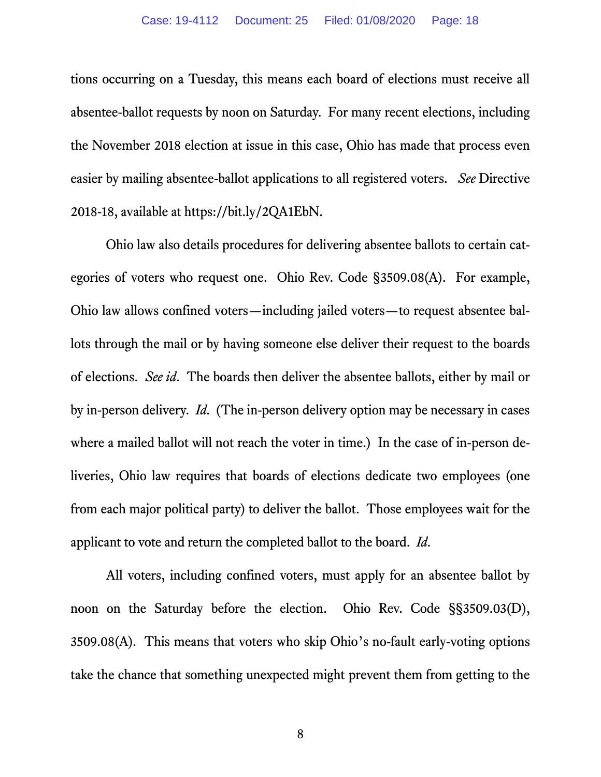tions occurring on a Tuesday, this means each board of elections must receive all absentee-ballot requests by noon on Saturday. For many recent elections, including the November 2018 election at issue in this case, Ohio has made that process even easier by mailing absentee-ballot applications to all registered voters. *See* Directive 2018-18, available at https://bit.ly/2QA1EbN.

<span id="page-17-1"></span>Ohio law also details procedures for delivering absentee ballots to certain categories of voters who request one. Ohio Rev. Code §3509.08(A). For example, Ohio law allows confined voters—including jailed voters—to request absentee ballots through the mail or by having someone else deliver their request to the boards of elections. *See id*. The boards then deliver the absentee ballots, either by mail or by in-person delivery. *Id.* (The in-person delivery option may be necessary in cases where a mailed ballot will not reach the voter in time.) In the case of in-person deliveries, Ohio law requires that boards of elections dedicate two employees (one from each major political party) to deliver the ballot. Those employees wait for the applicant to vote and return the completed ballot to the board. *Id.*

<span id="page-17-0"></span>All voters, including confined voters, must apply for an absentee ballot by noon on the Saturday before the election. Ohio Rev. Code §§3509.03(D), 3509.08(A). This means that voters who skip Ohio's no-fault early-voting options take the chance that something unexpected might prevent them from getting to the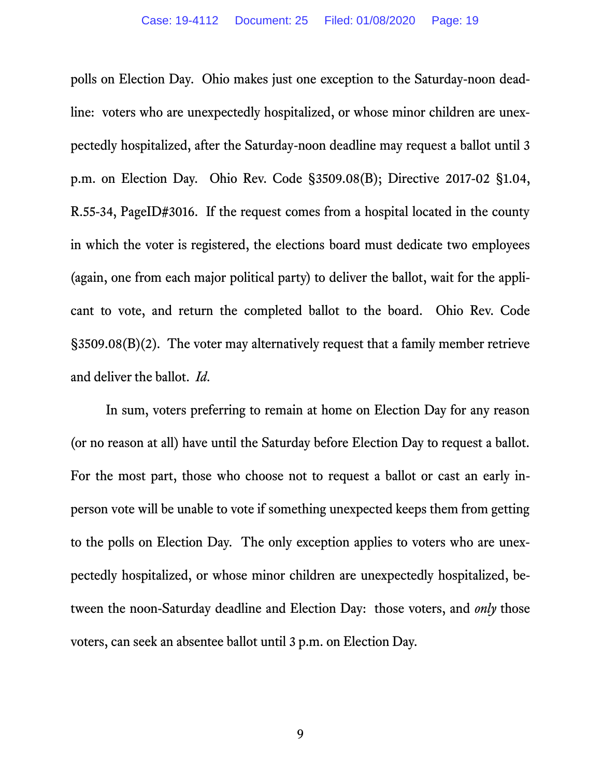polls on Election Day. Ohio makes just one exception to the Saturday-noon deadline: voters who are unexpectedly hospitalized, or whose minor children are unexpectedly hospitalized, after the Saturday-noon deadline may request a ballot until 3 p.m. on Election Day. Ohio Rev. Code §3509.08(B); Directive 2017-02 §1.04, R.55-34, PageID#3016. If the request comes from a hospital located in the county in which the voter is registered, the elections board must dedicate two employees (again, one from each major political party) to deliver the ballot, wait for the applicant to vote, and return the completed ballot to the board. Ohio Rev. Code §3509.08(B)(2). The voter may alternatively request that a family member retrieve and deliver the ballot. *Id.* 

In sum, voters preferring to remain at home on Election Day for any reason (or no reason at all) have until the Saturday before Election Day to request a ballot. For the most part, those who choose not to request a ballot or cast an early inperson vote will be unable to vote if something unexpected keeps them from getting to the polls on Election Day. The only exception applies to voters who are unexpectedly hospitalized, or whose minor children are unexpectedly hospitalized, between the noon-Saturday deadline and Election Day: those voters, and *only* those voters, can seek an absentee ballot until 3 p.m. on Election Day.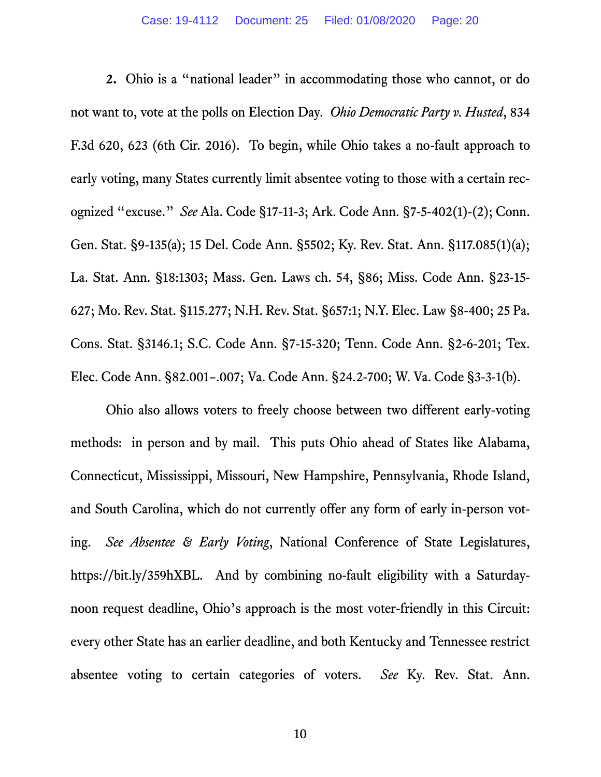<span id="page-19-6"></span><span id="page-19-5"></span><span id="page-19-4"></span><span id="page-19-3"></span><span id="page-19-2"></span><span id="page-19-0"></span>**2.** Ohio is a "national leader" in accommodating those who cannot, or do not want to, vote at the polls on Election Day. *Ohio Democratic Party v. Husted*, 834 F.3d 620, 623 (6th Cir. 2016). To begin, while Ohio takes a no-fault approach to early voting, many States currently limit absentee voting to those with a certain recognized "excuse." *See* Ala. Code §17-11-3; Ark. Code Ann. §7-5-402(1)-(2); Conn. Gen. Stat. §9-135(a); 15 Del. Code Ann. §5502; Ky. Rev. Stat. Ann. §117.085(1)(a); La. Stat. Ann. §18:1303; Mass. Gen. Laws ch. 54, §86; Miss. Code Ann. §23-15- 627; Mo. Rev. Stat. §115.277; N.H. Rev. Stat. §657:1; N.Y. Elec. Law §8-400; 25 Pa. Cons. Stat. §3146.1; S.C. Code Ann. §7-15-320; Tenn. Code Ann. §2-6-201; Tex. Elec. Code Ann. §82.001–.007; Va. Code Ann. §24.2-700; W. Va. Code §3-3-1(b).

<span id="page-19-18"></span><span id="page-19-17"></span><span id="page-19-16"></span><span id="page-19-15"></span><span id="page-19-14"></span><span id="page-19-13"></span><span id="page-19-12"></span><span id="page-19-11"></span><span id="page-19-10"></span><span id="page-19-9"></span><span id="page-19-8"></span><span id="page-19-7"></span><span id="page-19-1"></span>Ohio also allows voters to freely choose between two different early-voting methods: in person and by mail. This puts Ohio ahead of States like Alabama, Connecticut, Mississippi, Missouri, New Hampshire, Pennsylvania, Rhode Island, and South Carolina, which do not currently offer any form of early in-person voting. *See Absentee & Early Voting*, National Conference of State Legislatures, https://bit.ly/359hXBL. And by combining no-fault eligibility with a Saturdaynoon request deadline, Ohio's approach is the most voter-friendly in this Circuit: every other State has an earlier deadline, and both Kentucky and Tennessee restrict absentee voting to certain categories of voters. *See* Ky. Rev. Stat. Ann.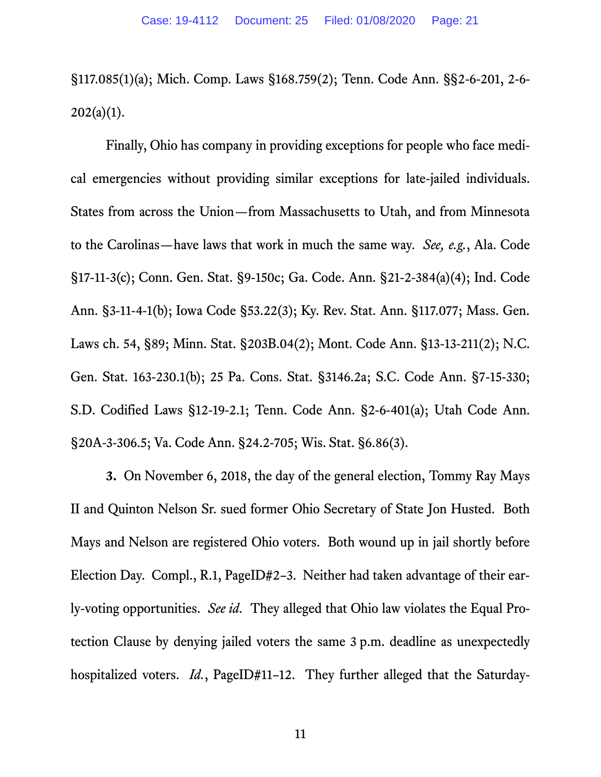<span id="page-20-15"></span><span id="page-20-14"></span><span id="page-20-8"></span>§117.085(1)(a); Mich. Comp. Laws §168.759(2); Tenn. Code Ann. §§2-6-201, 2-6-  $202(a)(1)$ .

<span id="page-20-7"></span><span id="page-20-6"></span><span id="page-20-5"></span><span id="page-20-4"></span><span id="page-20-3"></span><span id="page-20-2"></span><span id="page-20-1"></span>Finally, Ohio has company in providing exceptions for people who face medical emergencies without providing similar exceptions for late-jailed individuals. States from across the Union—from Massachusetts to Utah, and from Minnesota to the Carolinas—have laws that work in much the same way. *See, e.g.*, Ala. Code §17-11-3(c); Conn. Gen. Stat. §9-150c; Ga. Code. Ann. §21-2-384(a)(4); Ind. Code Ann. §3-11-4-1(b); Iowa Code §53.22(3); Ky. Rev. Stat. Ann. §117.077; Mass. Gen. Laws ch. 54, §89; Minn. Stat. §203B.04(2); Mont. Code Ann. §13-13-211(2); N.C. Gen. Stat. 163-230.1(b); 25 Pa. Cons. Stat. §3146.2a; S.C. Code Ann. §7-15-330; S.D. Codified Laws §12-19-2.1; Tenn. Code Ann. §2-6-401(a); Utah Code Ann. §20A-3-306.5; Va. Code Ann. §24.2-705; Wis. Stat. §6.86(3).

<span id="page-20-19"></span><span id="page-20-18"></span><span id="page-20-17"></span><span id="page-20-16"></span><span id="page-20-13"></span><span id="page-20-12"></span><span id="page-20-11"></span><span id="page-20-10"></span><span id="page-20-9"></span><span id="page-20-0"></span>**3.** On November 6, 2018, the day of the general election, Tommy Ray Mays II and Quinton Nelson Sr. sued former Ohio Secretary of State Jon Husted. Both Mays and Nelson are registered Ohio voters. Both wound up in jail shortly before Election Day. Compl., R.1, PageID#2–3. Neither had taken advantage of their early-voting opportunities. *See id.* They alleged that Ohio law violates the Equal Protection Clause by denying jailed voters the same 3 p.m. deadline as unexpectedly hospitalized voters. *Id.*, PageID#11-12. They further alleged that the Saturday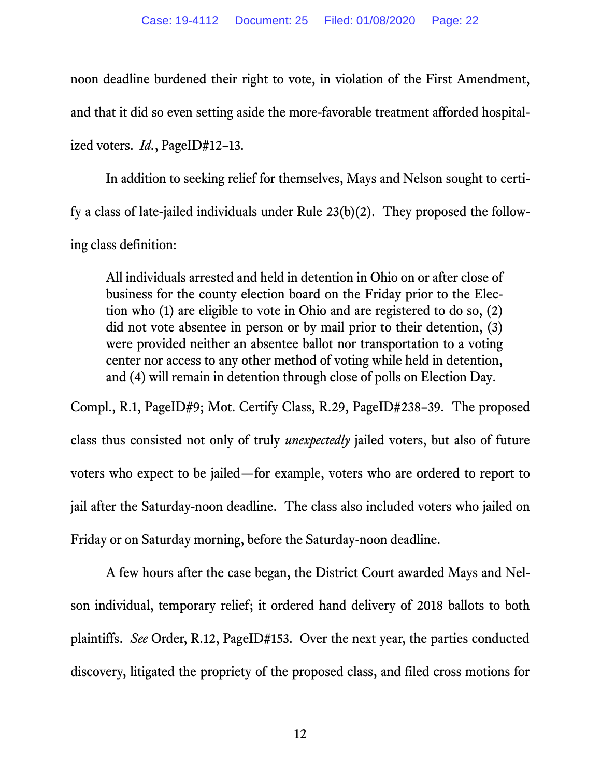noon deadline burdened their right to vote, in violation of the First Amendment, and that it did so even setting aside the more-favorable treatment afforded hospitalized voters. *Id.*, PageID#12–13.

In addition to seeking relief for themselves, Mays and Nelson sought to certify a class of late-jailed individuals under Rule 23(b)(2). They proposed the following class definition:

All individuals arrested and held in detention in Ohio on or after close of business for the county election board on the Friday prior to the Election who (1) are eligible to vote in Ohio and are registered to do so, (2) did not vote absentee in person or by mail prior to their detention, (3) were provided neither an absentee ballot nor transportation to a voting center nor access to any other method of voting while held in detention, and (4) will remain in detention through close of polls on Election Day.

Compl., R.1, PageID#9; Mot. Certify Class, R.29, PageID#238–39. The proposed class thus consisted not only of truly *unexpectedly* jailed voters, but also of future voters who expect to be jailed—for example, voters who are ordered to report to jail after the Saturday-noon deadline. The class also included voters who jailed on Friday or on Saturday morning, before the Saturday-noon deadline.

A few hours after the case began, the District Court awarded Mays and Nelson individual, temporary relief; it ordered hand delivery of 2018 ballots to both plaintiffs. *See* Order, R.12, PageID#153. Over the next year, the parties conducted discovery, litigated the propriety of the proposed class, and filed cross motions for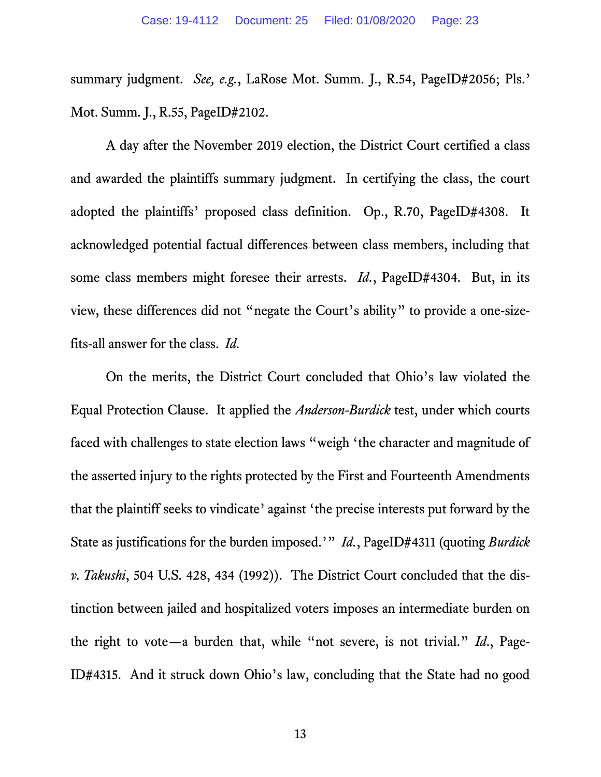summary judgment. *See, e.g.*, LaRose Mot. Summ. J., R.54, PageID#2056; Pls.' Mot. Summ. J., R.55, PageID#2102.

A day after the November 2019 election, the District Court certified a class and awarded the plaintiffs summary judgment. In certifying the class, the court adopted the plaintiffs' proposed class definition. Op., R.70, PageID#4308. It acknowledged potential factual differences between class members, including that some class members might foresee their arrests. *Id.*, PageID#4304. But, in its view, these differences did not "negate the Court's ability" to provide a one-sizefits-all answer for the class. *Id.*

On the merits, the District Court concluded that Ohio's law violated the Equal Protection Clause. It applied the *Anderson-Burdick* test, under which courts faced with challenges to state election laws "weigh 'the character and magnitude of the asserted injury to the rights protected by the First and Fourteenth Amendments that the plaintiff seeks to vindicate' against 'the precise interests put forward by the State as justifications for the burden imposed.'" *Id.*, PageID#4311 (quoting *Burdick v. Takushi*, 504 U.S. 428, 434 (1992)). The District Court concluded that the distinction between jailed and hospitalized voters imposes an intermediate burden on the right to vote—a burden that, while "not severe, is not trivial." *Id*., Page-ID#4315. And it struck down Ohio's law, concluding that the State had no good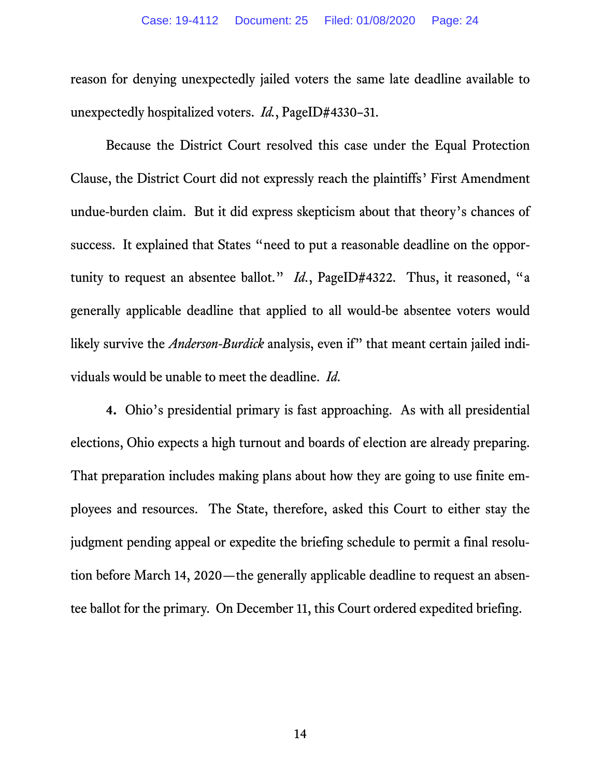reason for denying unexpectedly jailed voters the same late deadline available to unexpectedly hospitalized voters. *Id.*, PageID#4330–31.

Because the District Court resolved this case under the Equal Protection Clause, the District Court did not expressly reach the plaintiffs' First Amendment undue-burden claim. But it did express skepticism about that theory's chances of success. It explained that States "need to put a reasonable deadline on the opportunity to request an absentee ballot." *Id.*, PageID#4322. Thus, it reasoned, "a generally applicable deadline that applied to all would-be absentee voters would likely survive the *Anderson-Burdick* analysis, even if" that meant certain jailed individuals would be unable to meet the deadline. *Id.*

**4.** Ohio's presidential primary is fast approaching. As with all presidential elections, Ohio expects a high turnout and boards of election are already preparing. That preparation includes making plans about how they are going to use finite employees and resources. The State, therefore, asked this Court to either stay the judgment pending appeal or expedite the briefing schedule to permit a final resolution before March 14, 2020—the generally applicable deadline to request an absentee ballot for the primary. On December 11, this Court ordered expedited briefing.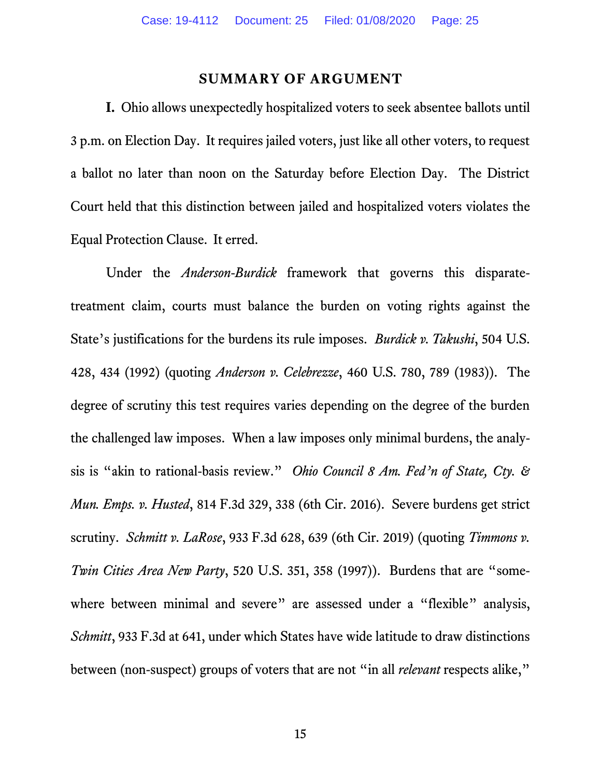#### <span id="page-24-1"></span>**SUMMARY OF ARGUMENT**

<span id="page-24-0"></span>**I.** Ohio allows unexpectedly hospitalized voters to seek absentee ballots until 3 p.m. on Election Day. It requires jailed voters, just like all other voters, to request a ballot no later than noon on the Saturday before Election Day. The District Court held that this distinction between jailed and hospitalized voters violates the Equal Protection Clause. It erred.

<span id="page-24-3"></span><span id="page-24-2"></span>Under the *Anderson-Burdick* framework that governs this disparatetreatment claim, courts must balance the burden on voting rights against the State's justifications for the burdens its rule imposes. *Burdick v. Takushi*, 504 U.S. 428, 434 (1992) (quoting *Anderson v. Celebrezze*, 460 U.S. 780, 789 (1983)). The degree of scrutiny this test requires varies depending on the degree of the burden the challenged law imposes. When a law imposes only minimal burdens, the analysis is "akin to rational-basis review." *Ohio Council 8 Am. Fed'n of State, Cty. & Mun. Emps. v. Husted*, 814 F.3d 329, 338 (6th Cir. 2016). Severe burdens get strict scrutiny. *Schmitt v. LaRose*, 933 F.3d 628, 639 (6th Cir. 2019) (quoting *Timmons v. Twin Cities Area New Party*, 520 U.S. 351, 358 (1997)). Burdens that are "somewhere between minimal and severe" are assessed under a "flexible" analysis, *Schmitt*, 933 F.3d at 641, under which States have wide latitude to draw distinctions between (non-suspect) groups of voters that are not "in all *relevant* respects alike,"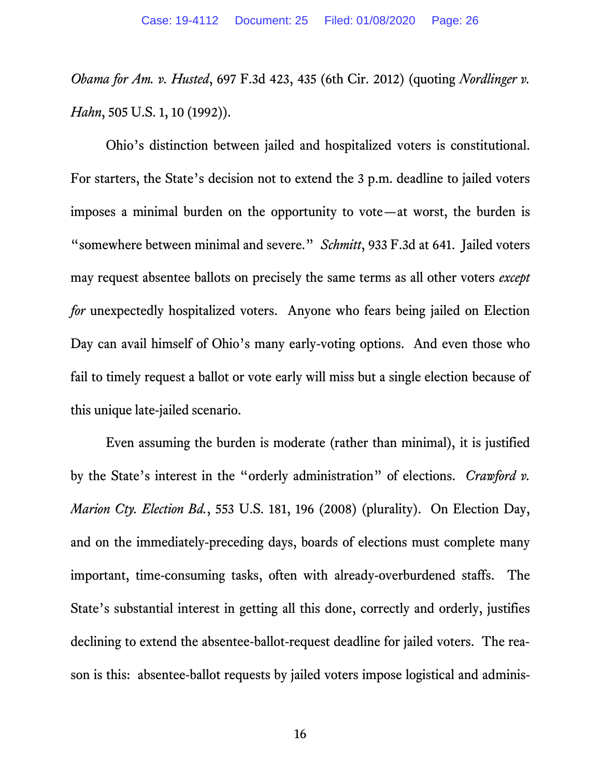*Obama for Am. v. Husted*, 697 F.3d 423, 435 (6th Cir. 2012) (quoting *Nordlinger v. Hahn*, 505 U.S. 1, 10 (1992)).

Ohio's distinction between jailed and hospitalized voters is constitutional. For starters, the State's decision not to extend the 3 p.m. deadline to jailed voters imposes a minimal burden on the opportunity to vote—at worst, the burden is "somewhere between minimal and severe." *Schmitt*, 933 F.3d at 641. Jailed voters may request absentee ballots on precisely the same terms as all other voters *except for* unexpectedly hospitalized voters. Anyone who fears being jailed on Election Day can avail himself of Ohio's many early-voting options. And even those who fail to timely request a ballot or vote early will miss but a single election because of this unique late-jailed scenario.

<span id="page-25-0"></span>Even assuming the burden is moderate (rather than minimal), it is justified by the State's interest in the "orderly administration" of elections. *Crawford v. Marion Cty. Election Bd.*, 553 U.S. 181, 196 (2008) (plurality). On Election Day, and on the immediately-preceding days, boards of elections must complete many important, time-consuming tasks, often with already-overburdened staffs. The State's substantial interest in getting all this done, correctly and orderly, justifies declining to extend the absentee-ballot-request deadline for jailed voters. The reason is this: absentee-ballot requests by jailed voters impose logistical and adminis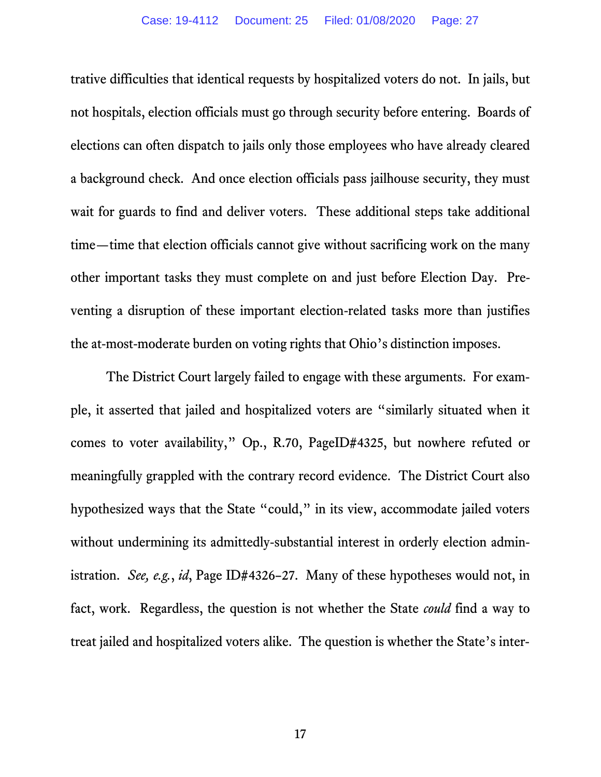trative difficulties that identical requests by hospitalized voters do not. In jails, but not hospitals, election officials must go through security before entering. Boards of elections can often dispatch to jails only those employees who have already cleared a background check. And once election officials pass jailhouse security, they must wait for guards to find and deliver voters. These additional steps take additional time—time that election officials cannot give without sacrificing work on the many other important tasks they must complete on and just before Election Day. Preventing a disruption of these important election-related tasks more than justifies the at-most-moderate burden on voting rights that Ohio's distinction imposes.

The District Court largely failed to engage with these arguments. For example, it asserted that jailed and hospitalized voters are "similarly situated when it comes to voter availability," Op., R.70, PageID#4325, but nowhere refuted or meaningfully grappled with the contrary record evidence. The District Court also hypothesized ways that the State "could," in its view, accommodate jailed voters without undermining its admittedly-substantial interest in orderly election administration. *See, e.g.*, *id*, Page ID#4326–27. Many of these hypotheses would not, in fact, work. Regardless, the question is not whether the State *could* find a way to treat jailed and hospitalized voters alike. The question is whether the State's inter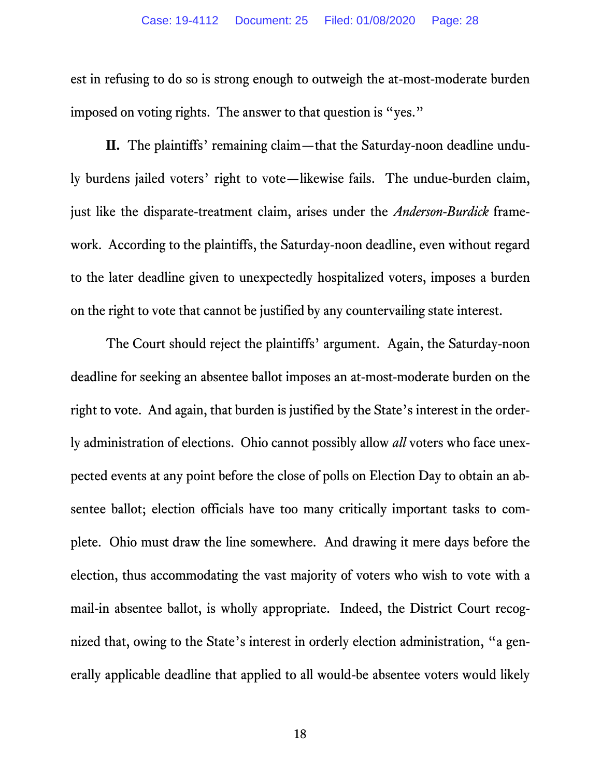est in refusing to do so is strong enough to outweigh the at-most-moderate burden imposed on voting rights. The answer to that question is "yes."

**II.** The plaintiffs' remaining claim—that the Saturday-noon deadline unduly burdens jailed voters' right to vote—likewise fails. The undue-burden claim, just like the disparate-treatment claim, arises under the *Anderson-Burdick* framework. According to the plaintiffs, the Saturday-noon deadline, even without regard to the later deadline given to unexpectedly hospitalized voters, imposes a burden on the right to vote that cannot be justified by any countervailing state interest.

The Court should reject the plaintiffs' argument. Again, the Saturday-noon deadline for seeking an absentee ballot imposes an at-most-moderate burden on the right to vote. And again, that burden is justified by the State's interest in the orderly administration of elections. Ohio cannot possibly allow *all* voters who face unexpected events at any point before the close of polls on Election Day to obtain an absentee ballot; election officials have too many critically important tasks to complete. Ohio must draw the line somewhere. And drawing it mere days before the election, thus accommodating the vast majority of voters who wish to vote with a mail-in absentee ballot, is wholly appropriate. Indeed, the District Court recognized that, owing to the State's interest in orderly election administration, "a generally applicable deadline that applied to all would-be absentee voters would likely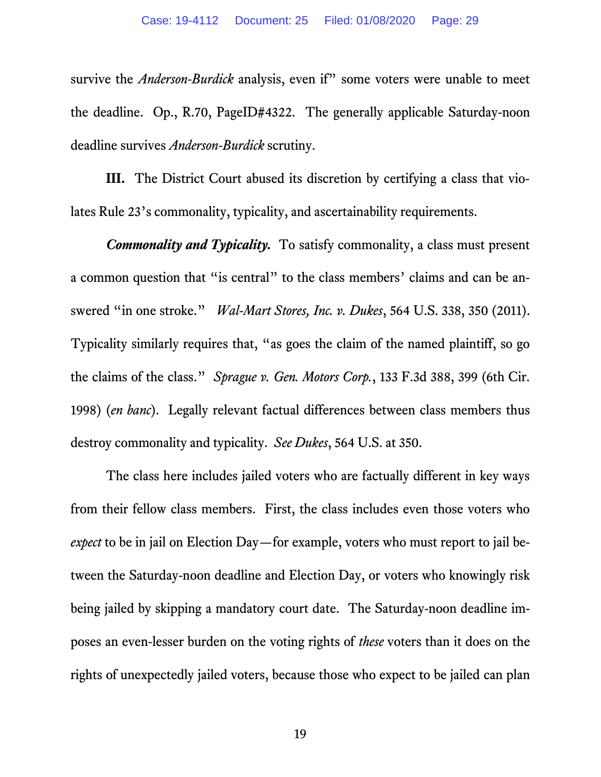survive the *Anderson-Burdick* analysis, even if" some voters were unable to meet the deadline. Op., R.70, PageID#4322. The generally applicable Saturday-noon deadline survives *Anderson-Burdick* scrutiny.

**III.** The District Court abused its discretion by certifying a class that violates Rule 23's commonality, typicality, and ascertainability requirements.

<span id="page-28-1"></span>*Commonality and Typicality.* To satisfy commonality, a class must present a common question that "is central" to the class members' claims and can be answered "in one stroke." *Wal-Mart Stores, Inc. v. Dukes*, 564 U.S. 338, 350 (2011). Typicality similarly requires that, "as goes the claim of the named plaintiff, so go the claims of the class." *Sprague v. Gen. Motors Corp.*, 133 F.3d 388, 399 (6th Cir. 1998) (*en banc*). Legally relevant factual differences between class members thus destroy commonality and typicality. *See Dukes*, 564 U.S. at 350.

<span id="page-28-0"></span>The class here includes jailed voters who are factually different in key ways from their fellow class members. First, the class includes even those voters who *expect* to be in jail on Election Day—for example, voters who must report to jail between the Saturday-noon deadline and Election Day, or voters who knowingly risk being jailed by skipping a mandatory court date. The Saturday-noon deadline imposes an even-lesser burden on the voting rights of *these* voters than it does on the rights of unexpectedly jailed voters, because those who expect to be jailed can plan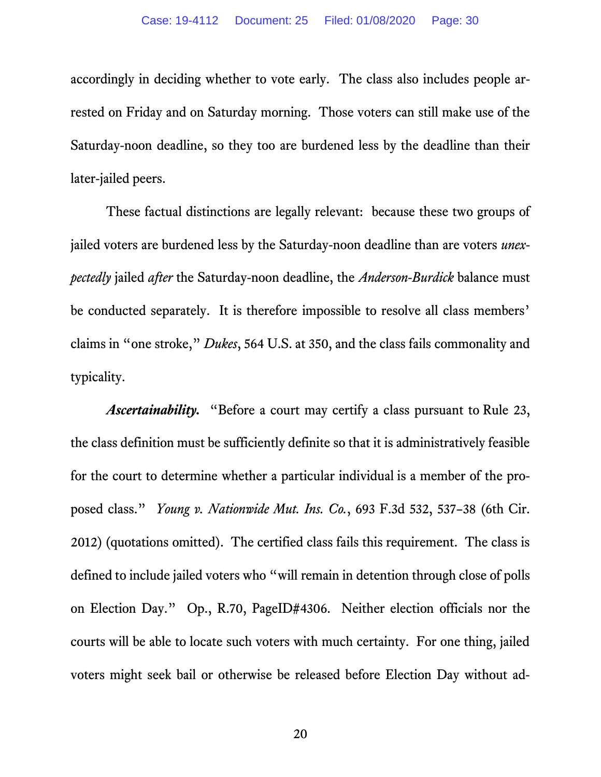accordingly in deciding whether to vote early. The class also includes people arrested on Friday and on Saturday morning. Those voters can still make use of the Saturday-noon deadline, so they too are burdened less by the deadline than their later-jailed peers.

These factual distinctions are legally relevant: because these two groups of jailed voters are burdened less by the Saturday-noon deadline than are voters *unexpectedly* jailed *after* the Saturday-noon deadline, the *Anderson-Burdick* balance must be conducted separately. It is therefore impossible to resolve all class members' claims in "one stroke," *Dukes*, 564 U.S. at 350, and the class fails commonality and typicality.

<span id="page-29-0"></span>*Ascertainability.* "Before a court may certify a class pursuant to Rule 23, the class definition must be sufficiently definite so that it is administratively feasible for the court to determine whether a particular individual is a member of the proposed class." *Young v. Nationwide Mut. Ins. Co.*, 693 F.3d 532, 537–38 (6th Cir. 2012) (quotations omitted). The certified class fails this requirement. The class is defined to include jailed voters who "will remain in detention through close of polls on Election Day." Op., R.70, PageID#4306. Neither election officials nor the courts will be able to locate such voters with much certainty. For one thing, jailed voters might seek bail or otherwise be released before Election Day without ad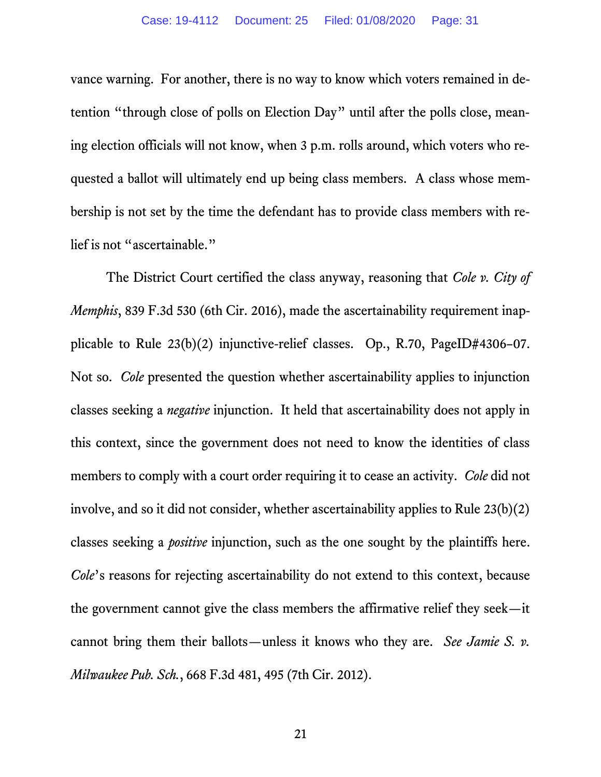vance warning. For another, there is no way to know which voters remained in detention "through close of polls on Election Day" until after the polls close, meaning election officials will not know, when 3 p.m. rolls around, which voters who requested a ballot will ultimately end up being class members. A class whose membership is not set by the time the defendant has to provide class members with relief is not "ascertainable."

<span id="page-30-1"></span><span id="page-30-0"></span>The District Court certified the class anyway, reasoning that *Cole v. City of Memphis*, 839 F.3d 530 (6th Cir. 2016), made the ascertainability requirement inapplicable to Rule 23(b)(2) injunctive-relief classes. Op., R.70, PageID#4306–07. Not so. *Cole* presented the question whether ascertainability applies to injunction classes seeking a *negative* injunction. It held that ascertainability does not apply in this context, since the government does not need to know the identities of class members to comply with a court order requiring it to cease an activity. *Cole* did not involve, and so it did not consider, whether ascertainability applies to Rule 23(b)(2) classes seeking a *positive* injunction, such as the one sought by the plaintiffs here. *Cole*'s reasons for rejecting ascertainability do not extend to this context, because the government cannot give the class members the affirmative relief they seek—it cannot bring them their ballots—unless it knows who they are. *See Jamie S. v. Milwaukee Pub. Sch.*, 668 F.3d 481, 495 (7th Cir. 2012).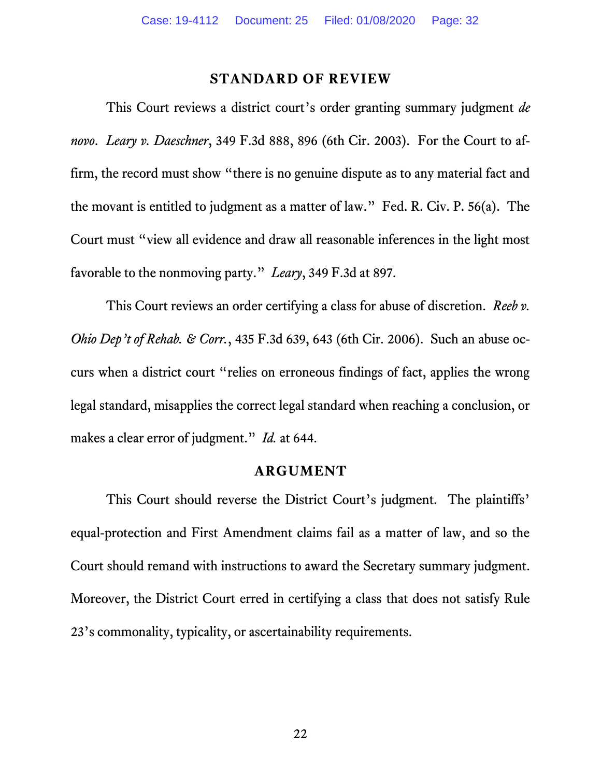#### <span id="page-31-4"></span>**STANDARD OF REVIEW**

<span id="page-31-2"></span><span id="page-31-0"></span>This Court reviews a district court's order granting summary judgment *de novo*. *Leary v. Daeschner*, 349 F.3d 888, 896 (6th Cir. 2003). For the Court to affirm, the record must show "there is no genuine dispute as to any material fact and the movant is entitled to judgment as a matter of law." Fed. R. Civ. P. 56(a). The Court must "view all evidence and draw all reasonable inferences in the light most favorable to the nonmoving party." *Leary*, 349 F.3d at 897.

This Court reviews an order certifying a class for abuse of discretion. *Reeb v. Ohio Dep't of Rehab. & Corr.*, 435 F.3d 639, 643 (6th Cir. 2006). Such an abuse occurs when a district court "relies on erroneous findings of fact, applies the wrong legal standard, misapplies the correct legal standard when reaching a conclusion, or makes a clear error of judgment." *Id.* at 644.

#### <span id="page-31-3"></span>**ARGUMENT**

<span id="page-31-1"></span>This Court should reverse the District Court's judgment. The plaintiffs' equal-protection and First Amendment claims fail as a matter of law, and so the Court should remand with instructions to award the Secretary summary judgment. Moreover, the District Court erred in certifying a class that does not satisfy Rule 23's commonality, typicality, or ascertainability requirements.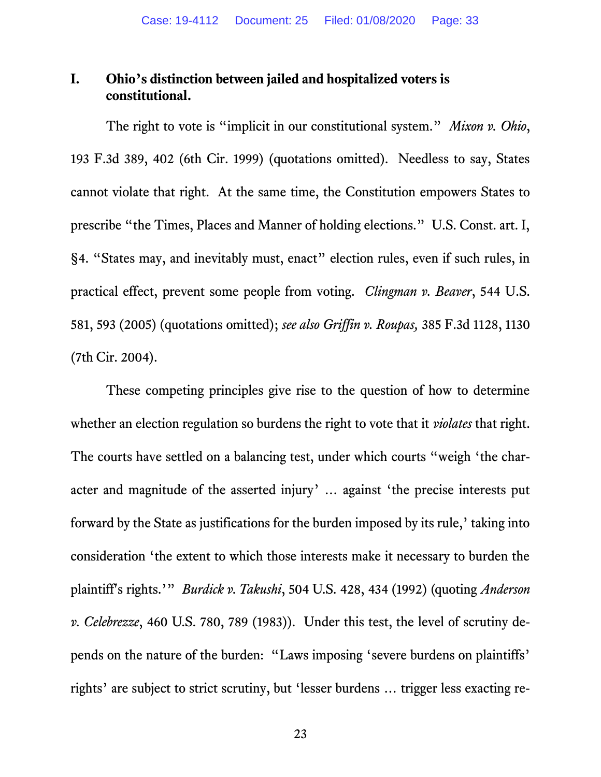### <span id="page-32-0"></span>**I. Ohio's distinction between jailed and hospitalized voters is constitutional.**

<span id="page-32-5"></span><span id="page-32-4"></span>The right to vote is "implicit in our constitutional system." *Mixon v. Ohio*, 193 F.3d 389, 402 (6th Cir. 1999) (quotations omitted). Needless to say, States cannot violate that right. At the same time, the Constitution empowers States to prescribe "the Times, Places and Manner of holding elections." U.S. Const. art. I, §4. "States may, and inevitably must, enact" election rules, even if such rules, in practical effect, prevent some people from voting. *Clingman v. Beaver*, 544 U.S. 581, 593 (2005) (quotations omitted); *see also Griffin v. Roupas,* 385 F.3d 1128, 1130 (7th Cir. 2004).

<span id="page-32-3"></span><span id="page-32-2"></span><span id="page-32-1"></span>These competing principles give rise to the question of how to determine whether an election regulation so burdens the right to vote that it *violates* that right. The courts have settled on a balancing test, under which courts "weigh 'the character and magnitude of the asserted injury' … against 'the precise interests put forward by the State as justifications for the burden imposed by its rule,' taking into consideration 'the extent to which those interests make it necessary to burden the plaintiff's rights.'" *Burdick v. Takushi*, 504 U.S. 428, 434 (1992) (quoting *Anderson v. Celebrezze*, 460 U.S. 780, 789 (1983)). Under this test, the level of scrutiny depends on the nature of the burden: "Laws imposing 'severe burdens on plaintiffs' rights' are subject to strict scrutiny, but 'lesser burdens … trigger less exacting re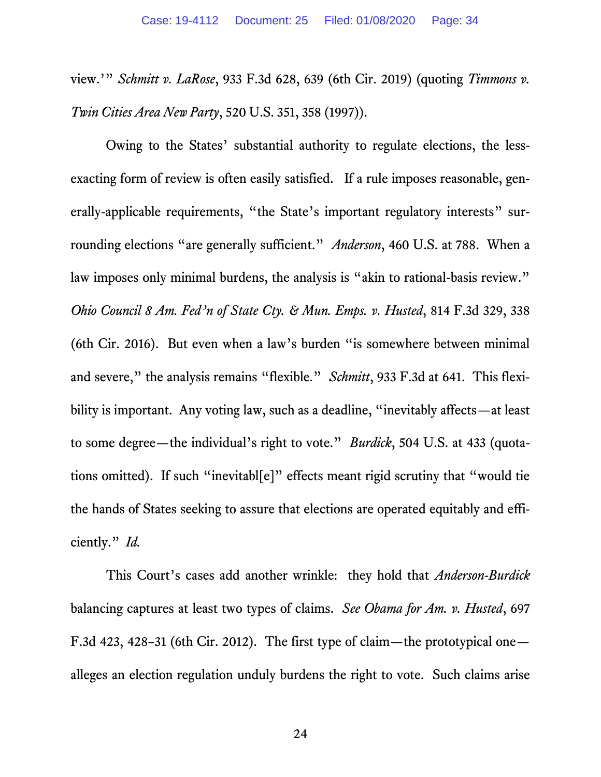view.'" *Schmitt v. LaRose*, 933 F.3d 628, 639 (6th Cir. 2019) (quoting *Timmons v. Twin Cities Area New Party*, 520 U.S. 351, 358 (1997)).

<span id="page-33-2"></span><span id="page-33-0"></span>Owing to the States' substantial authority to regulate elections, the lessexacting form of review is often easily satisfied. If a rule imposes reasonable, generally-applicable requirements, "the State's important regulatory interests" surrounding elections "are generally sufficient." *Anderson*, 460 U.S. at 788. When a law imposes only minimal burdens, the analysis is "akin to rational-basis review." *Ohio Council 8 Am. Fed'n of State Cty. & Mun. Emps. v. Husted*, 814 F.3d 329, 338 (6th Cir. 2016). But even when a law's burden "is somewhere between minimal and severe," the analysis remains "flexible." *Schmitt*, 933 F.3d at 641. This flexibility is important. Any voting law, such as a deadline, "inevitably affects—at least to some degree—the individual's right to vote." *Burdick*, 504 U.S. at 433 (quotations omitted). If such "inevitabl[e]" effects meant rigid scrutiny that "would tie the hands of States seeking to assure that elections are operated equitably and efficiently." *Id.* 

This Court's cases add another wrinkle: they hold that *Anderson-Burdick* balancing captures at least two types of claims. *See Obama for Am. v. Husted*, 697 F.3d 423, 428–31 (6th Cir. 2012). The first type of claim—the prototypical one alleges an election regulation unduly burdens the right to vote. Such claims arise

<span id="page-33-1"></span>24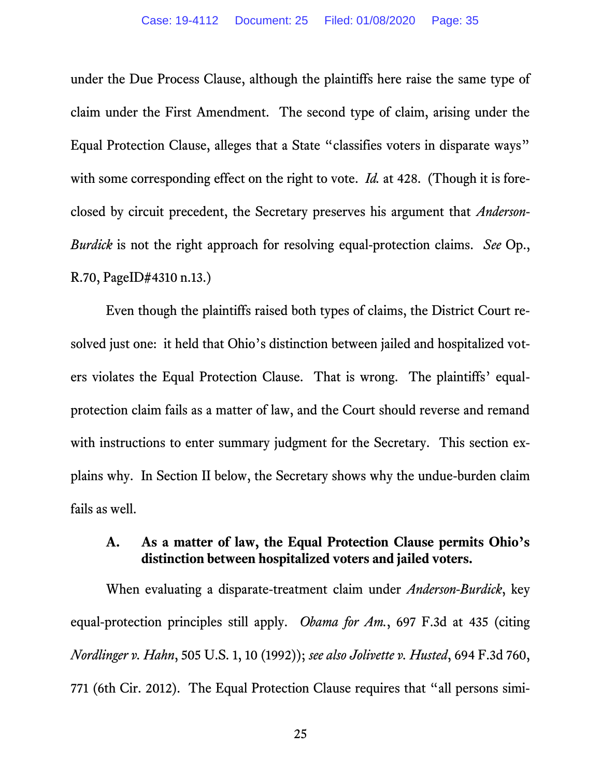under the Due Process Clause, although the plaintiffs here raise the same type of claim under the First Amendment. The second type of claim, arising under the Equal Protection Clause, alleges that a State "classifies voters in disparate ways" with some corresponding effect on the right to vote. *Id.* at 428. (Though it is foreclosed by circuit precedent, the Secretary preserves his argument that *Anderson-Burdick* is not the right approach for resolving equal-protection claims. *See* Op., R.70, PageID#4310 n.13.)

Even though the plaintiffs raised both types of claims, the District Court resolved just one: it held that Ohio's distinction between jailed and hospitalized voters violates the Equal Protection Clause. That is wrong. The plaintiffs' equalprotection claim fails as a matter of law, and the Court should reverse and remand with instructions to enter summary judgment for the Secretary. This section explains why. In Section II below, the Secretary shows why the undue-burden claim fails as well.

### <span id="page-34-1"></span><span id="page-34-0"></span>**A. As a matter of law, the Equal Protection Clause permits Ohio's distinction between hospitalized voters and jailed voters.**

When evaluating a disparate-treatment claim under *Anderson*-*Burdick*, key equal-protection principles still apply. *Obama for Am.*, 697 F.3d at 435 (citing *Nordlinger v. Hahn*, 505 U.S. 1, 10 (1992)); *see also Jolivette v. Husted*, 694 F.3d 760, 771 (6th Cir. 2012). The Equal Protection Clause requires that "all persons simi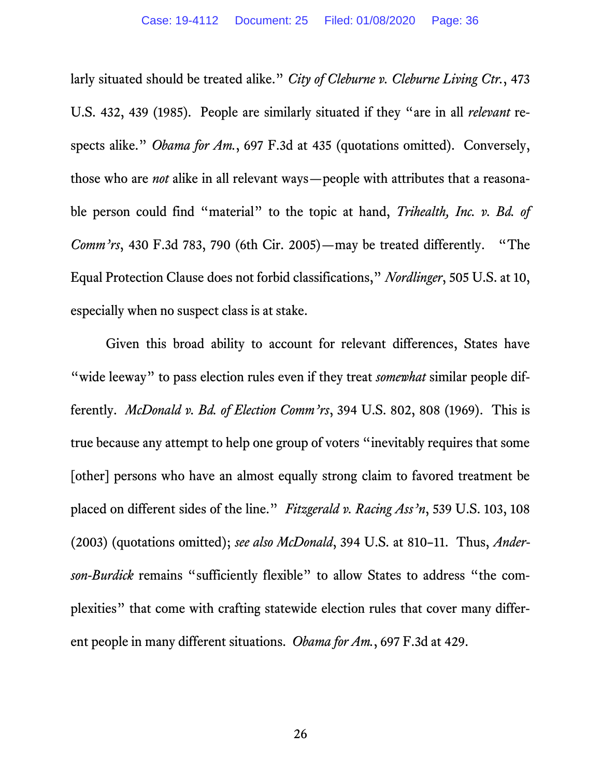<span id="page-35-4"></span><span id="page-35-0"></span>larly situated should be treated alike." *City of Cleburne v. Cleburne Living Ctr.*, 473 U.S. 432, 439 (1985). People are similarly situated if they "are in all *relevant* respects alike." *Obama for Am.*, 697 F.3d at 435 (quotations omitted). Conversely, those who are *not* alike in all relevant ways—people with attributes that a reasonable person could find "material" to the topic at hand, *Trihealth, Inc. v. Bd. of Comm'rs*, 430 F.3d 783, 790 (6th Cir. 2005)—may be treated differently. "The Equal Protection Clause does not forbid classifications," *Nordlinger*, 505 U.S. at 10, especially when no suspect class is at stake.

<span id="page-35-3"></span><span id="page-35-2"></span><span id="page-35-1"></span>Given this broad ability to account for relevant differences, States have "wide leeway" to pass election rules even if they treat *somewhat* similar people differently. *McDonald v. Bd. of Election Comm'rs*, 394 U.S. 802, 808 (1969). This is true because any attempt to help one group of voters "inevitably requires that some [other] persons who have an almost equally strong claim to favored treatment be placed on different sides of the line." *Fitzgerald v. Racing Ass'n*, 539 U.S. 103, 108 (2003) (quotations omitted); *see also McDonald*, 394 U.S. at 810–11. Thus, *Anderson-Burdick* remains "sufficiently flexible" to allow States to address "the complexities" that come with crafting statewide election rules that cover many different people in many different situations. *Obama for Am.*, 697 F.3d at 429.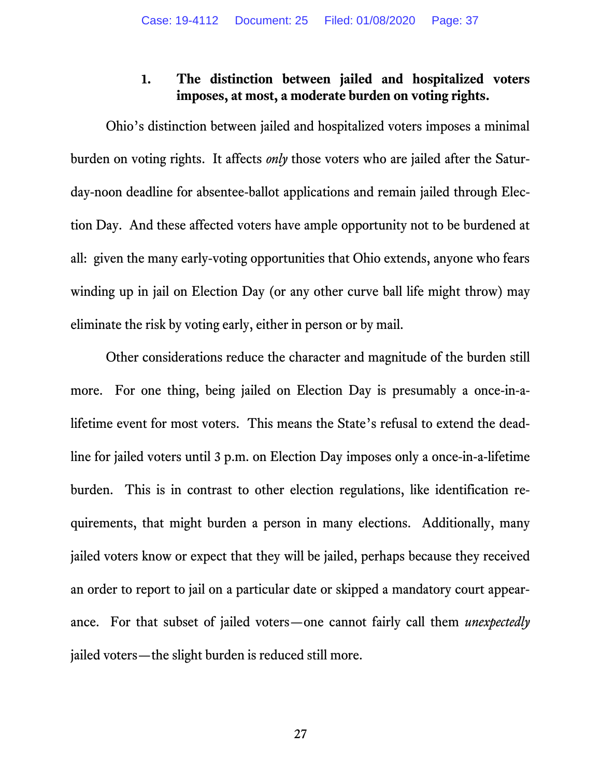## **1. The distinction between jailed and hospitalized voters imposes, at most, a moderate burden on voting rights.**

Ohio's distinction between jailed and hospitalized voters imposes a minimal burden on voting rights. It affects *only* those voters who are jailed after the Saturday-noon deadline for absentee-ballot applications and remain jailed through Election Day. And these affected voters have ample opportunity not to be burdened at all: given the many early-voting opportunities that Ohio extends, anyone who fears winding up in jail on Election Day (or any other curve ball life might throw) may eliminate the risk by voting early, either in person or by mail.

Other considerations reduce the character and magnitude of the burden still more. For one thing, being jailed on Election Day is presumably a once-in-alifetime event for most voters. This means the State's refusal to extend the deadline for jailed voters until 3 p.m. on Election Day imposes only a once-in-a-lifetime burden. This is in contrast to other election regulations, like identification requirements, that might burden a person in many elections. Additionally, many jailed voters know or expect that they will be jailed, perhaps because they received an order to report to jail on a particular date or skipped a mandatory court appearance. For that subset of jailed voters—one cannot fairly call them *unexpectedly*  jailed voters—the slight burden is reduced still more.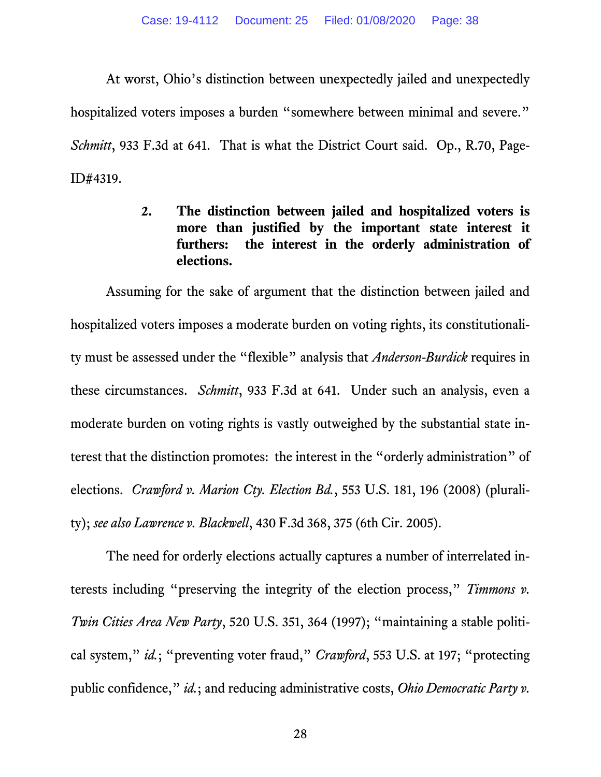At worst, Ohio's distinction between unexpectedly jailed and unexpectedly hospitalized voters imposes a burden "somewhere between minimal and severe." *Schmitt*, 933 F.3d at 641. That is what the District Court said. Op., R.70, Page-ID#4319.

> **2. The distinction between jailed and hospitalized voters is more than justified by the important state interest it furthers: the interest in the orderly administration of elections.**

Assuming for the sake of argument that the distinction between jailed and hospitalized voters imposes a moderate burden on voting rights, its constitutionality must be assessed under the "flexible" analysis that *Anderson-Burdick* requires in these circumstances. *Schmitt*, 933 F.3d at 641. Under such an analysis, even a moderate burden on voting rights is vastly outweighed by the substantial state interest that the distinction promotes: the interest in the "orderly administration" of elections. *Crawford v. Marion Cty. Election Bd.*, 553 U.S. 181, 196 (2008) (plurality); *see also Lawrence v. Blackwell*, 430 F.3d 368, 375 (6th Cir. 2005).

The need for orderly elections actually captures a number of interrelated interests including "preserving the integrity of the election process," *Timmons v. Twin Cities Area New Party*, 520 U.S. 351, 364 (1997); "maintaining a stable political system," *id.*; "preventing voter fraud," *Crawford*, 553 U.S. at 197; "protecting public confidence," *id.*; and reducing administrative costs, *Ohio Democratic Party v.*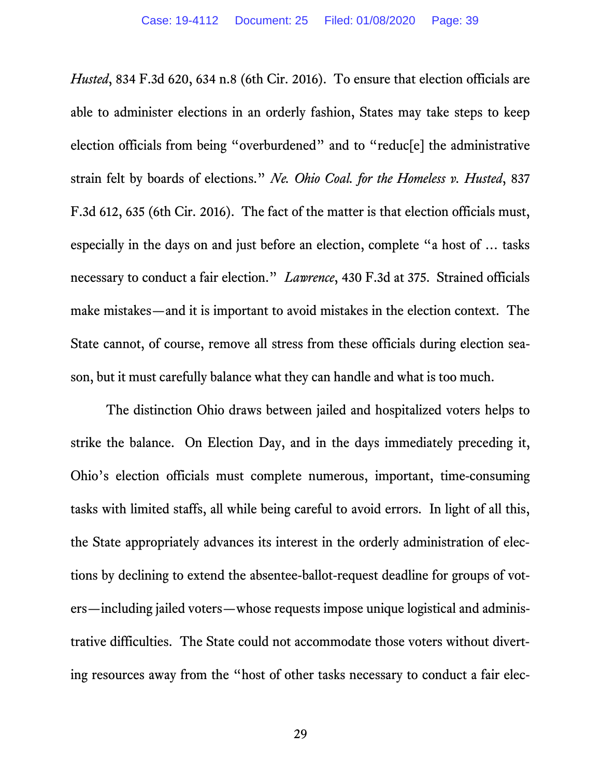*Husted*, 834 F.3d 620, 634 n.8 (6th Cir. 2016). To ensure that election officials are able to administer elections in an orderly fashion, States may take steps to keep election officials from being "overburdened" and to "reduc[e] the administrative strain felt by boards of elections." *Ne. Ohio Coal. for the Homeless v. Husted*, 837 F.3d 612, 635 (6th Cir. 2016). The fact of the matter is that election officials must, especially in the days on and just before an election, complete "a host of … tasks necessary to conduct a fair election." *Lawrence*, 430 F.3d at 375. Strained officials make mistakes—and it is important to avoid mistakes in the election context. The State cannot, of course, remove all stress from these officials during election season, but it must carefully balance what they can handle and what is too much.

The distinction Ohio draws between jailed and hospitalized voters helps to strike the balance. On Election Day, and in the days immediately preceding it, Ohio's election officials must complete numerous, important, time-consuming tasks with limited staffs, all while being careful to avoid errors. In light of all this, the State appropriately advances its interest in the orderly administration of elections by declining to extend the absentee-ballot-request deadline for groups of voters—including jailed voters—whose requests impose unique logistical and administrative difficulties. The State could not accommodate those voters without diverting resources away from the "host of other tasks necessary to conduct a fair elec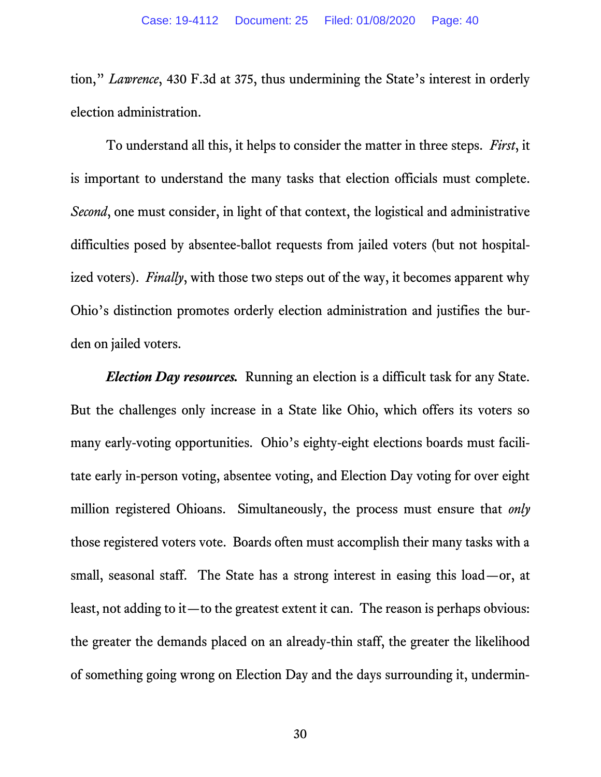tion," *Lawrence*, 430 F.3d at 375, thus undermining the State's interest in orderly election administration.

To understand all this, it helps to consider the matter in three steps. *First*, it is important to understand the many tasks that election officials must complete. *Second*, one must consider, in light of that context, the logistical and administrative difficulties posed by absentee-ballot requests from jailed voters (but not hospitalized voters). *Finally*, with those two steps out of the way, it becomes apparent why Ohio's distinction promotes orderly election administration and justifies the burden on jailed voters.

*Election Day resources.* Running an election is a difficult task for any State. But the challenges only increase in a State like Ohio, which offers its voters so many early-voting opportunities. Ohio's eighty-eight elections boards must facilitate early in-person voting, absentee voting, and Election Day voting for over eight million registered Ohioans. Simultaneously, the process must ensure that *only* those registered voters vote. Boards often must accomplish their many tasks with a small, seasonal staff. The State has a strong interest in easing this load—or, at least, not adding to it—to the greatest extent it can. The reason is perhaps obvious: the greater the demands placed on an already-thin staff, the greater the likelihood of something going wrong on Election Day and the days surrounding it, undermin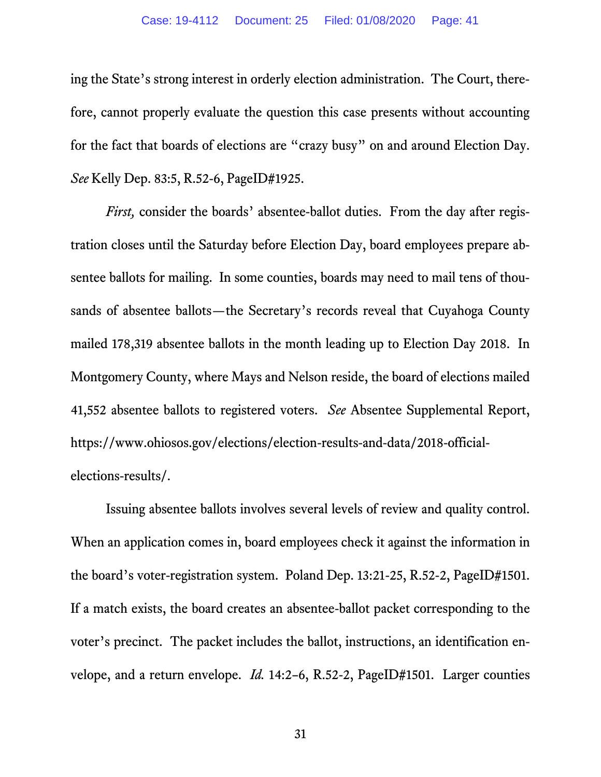ing the State's strong interest in orderly election administration. The Court, therefore, cannot properly evaluate the question this case presents without accounting for the fact that boards of elections are "crazy busy" on and around Election Day. *See* Kelly Dep. 83:5, R.52-6, PageID#1925.

*First,* consider the boards' absentee-ballot duties. From the day after registration closes until the Saturday before Election Day, board employees prepare absentee ballots for mailing. In some counties, boards may need to mail tens of thousands of absentee ballots—the Secretary's records reveal that Cuyahoga County mailed 178,319 absentee ballots in the month leading up to Election Day 2018. In Montgomery County, where Mays and Nelson reside, the board of elections mailed 41,552 absentee ballots to registered voters. *See* Absentee Supplemental Report, https://www.ohiosos.gov/elections/election-results-and-data/2018-officialelections-results/.

Issuing absentee ballots involves several levels of review and quality control. When an application comes in, board employees check it against the information in the board's voter-registration system. Poland Dep. 13:21-25, R.52-2, PageID#1501. If a match exists, the board creates an absentee-ballot packet corresponding to the voter's precinct. The packet includes the ballot, instructions, an identification envelope, and a return envelope. *Id.* 14:2–6, R.52-2, PageID#1501. Larger counties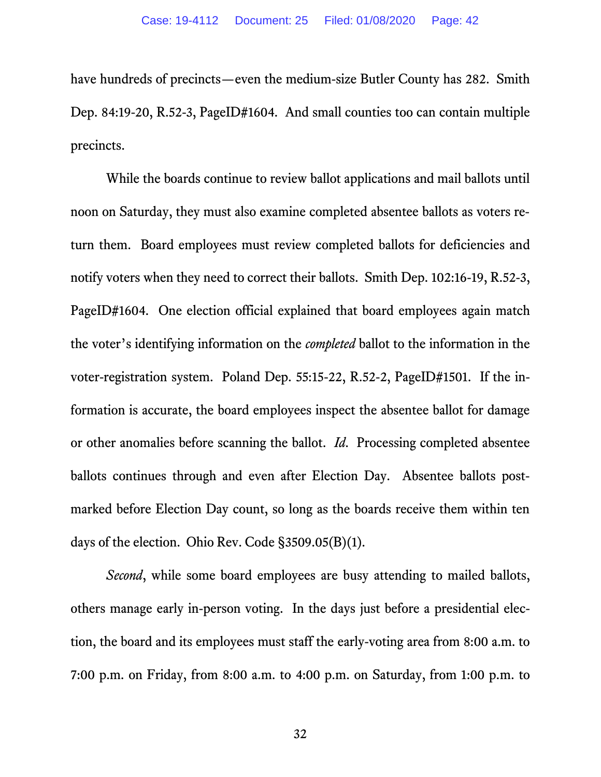have hundreds of precincts—even the medium-size Butler County has 282. Smith Dep. 84:19-20, R.52-3, PageID#1604. And small counties too can contain multiple precincts.

While the boards continue to review ballot applications and mail ballots until noon on Saturday, they must also examine completed absentee ballots as voters return them. Board employees must review completed ballots for deficiencies and notify voters when they need to correct their ballots. Smith Dep. 102:16-19, R.52-3, PageID#1604. One election official explained that board employees again match the voter's identifying information on the *completed* ballot to the information in the voter-registration system. Poland Dep. 55:15-22, R.52-2, PageID#1501. If the information is accurate, the board employees inspect the absentee ballot for damage or other anomalies before scanning the ballot. *Id*. Processing completed absentee ballots continues through and even after Election Day. Absentee ballots postmarked before Election Day count, so long as the boards receive them within ten days of the election. Ohio Rev. Code §3509.05(B)(1).

*Second*, while some board employees are busy attending to mailed ballots, others manage early in-person voting. In the days just before a presidential election, the board and its employees must staff the early-voting area from 8:00 a.m. to 7:00 p.m. on Friday, from 8:00 a.m. to 4:00 p.m. on Saturday, from 1:00 p.m. to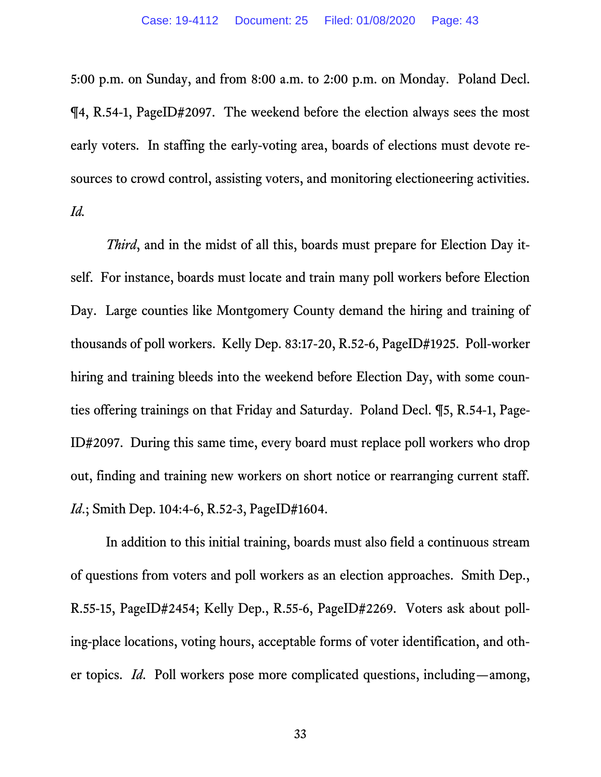5:00 p.m. on Sunday, and from 8:00 a.m. to 2:00 p.m. on Monday. Poland Decl. ¶4, R.54-1, PageID#2097. The weekend before the election always sees the most early voters. In staffing the early-voting area, boards of elections must devote resources to crowd control, assisting voters, and monitoring electioneering activities. *Id.*

*Third*, and in the midst of all this, boards must prepare for Election Day itself. For instance, boards must locate and train many poll workers before Election Day. Large counties like Montgomery County demand the hiring and training of thousands of poll workers. Kelly Dep. 83:17-20, R.52-6, PageID#1925. Poll-worker hiring and training bleeds into the weekend before Election Day, with some counties offering trainings on that Friday and Saturday. Poland Decl. ¶5, R.54-1, Page-ID#2097. During this same time, every board must replace poll workers who drop out, finding and training new workers on short notice or rearranging current staff. *Id.*; Smith Dep. 104:4-6, R.52-3, PageID#1604.

In addition to this initial training, boards must also field a continuous stream of questions from voters and poll workers as an election approaches. Smith Dep., R.55-15, PageID#2454; Kelly Dep., R.55-6, PageID#2269. Voters ask about polling-place locations, voting hours, acceptable forms of voter identification, and other topics. *Id*. Poll workers pose more complicated questions, including—among,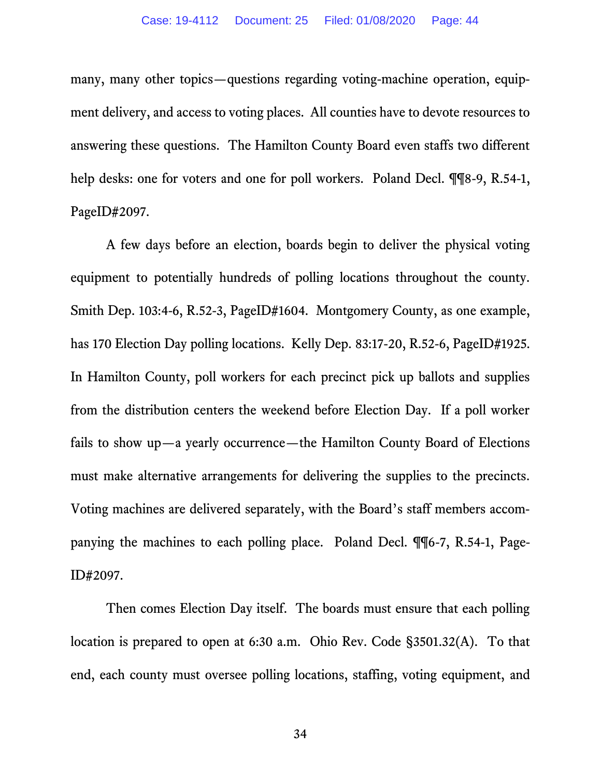many, many other topics—questions regarding voting-machine operation, equipment delivery, and access to voting places. All counties have to devote resources to answering these questions. The Hamilton County Board even staffs two different help desks: one for voters and one for poll workers. Poland Decl.  $\P$  ¶8-9, R.54-1, PageID#2097.

A few days before an election, boards begin to deliver the physical voting equipment to potentially hundreds of polling locations throughout the county. Smith Dep. 103:4-6, R.52-3, PageID#1604. Montgomery County, as one example, has 170 Election Day polling locations. Kelly Dep. 83:17-20, R.52-6, PageID#1925. In Hamilton County, poll workers for each precinct pick up ballots and supplies from the distribution centers the weekend before Election Day. If a poll worker fails to show up—a yearly occurrence—the Hamilton County Board of Elections must make alternative arrangements for delivering the supplies to the precincts. Voting machines are delivered separately, with the Board's staff members accompanying the machines to each polling place. Poland Decl. ¶¶6-7, R.54-1, Page-ID#2097.

Then comes Election Day itself. The boards must ensure that each polling location is prepared to open at 6:30 a.m. Ohio Rev. Code §3501.32(A). To that end, each county must oversee polling locations, staffing, voting equipment, and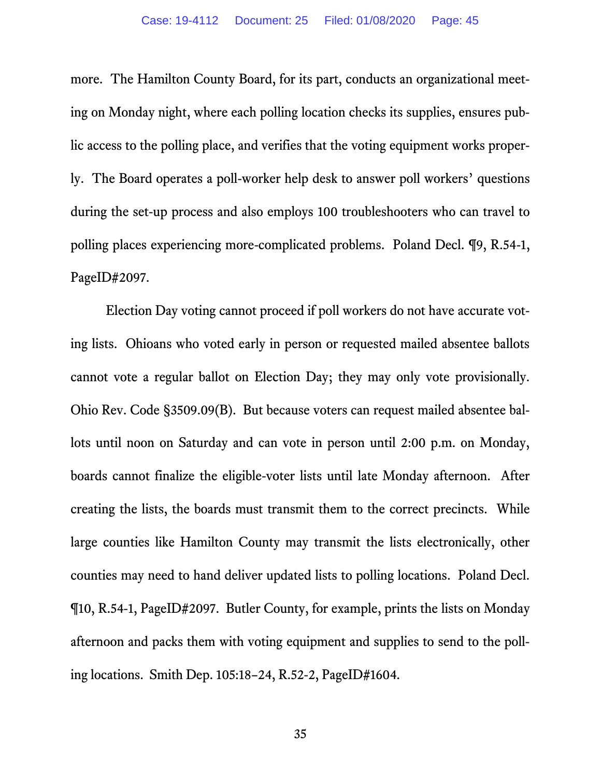more. The Hamilton County Board, for its part, conducts an organizational meeting on Monday night, where each polling location checks its supplies, ensures public access to the polling place, and verifies that the voting equipment works properly. The Board operates a poll-worker help desk to answer poll workers' questions during the set-up process and also employs 100 troubleshooters who can travel to polling places experiencing more-complicated problems. Poland Decl. ¶9, R.54-1, PageID#2097.

Election Day voting cannot proceed if poll workers do not have accurate voting lists. Ohioans who voted early in person or requested mailed absentee ballots cannot vote a regular ballot on Election Day; they may only vote provisionally. Ohio Rev. Code §3509.09(B). But because voters can request mailed absentee ballots until noon on Saturday and can vote in person until 2:00 p.m. on Monday, boards cannot finalize the eligible-voter lists until late Monday afternoon. After creating the lists, the boards must transmit them to the correct precincts. While large counties like Hamilton County may transmit the lists electronically, other counties may need to hand deliver updated lists to polling locations. Poland Decl. ¶10, R.54-1, PageID#2097. Butler County, for example, prints the lists on Monday afternoon and packs them with voting equipment and supplies to send to the polling locations. Smith Dep. 105:18–24, R.52-2, PageID#1604.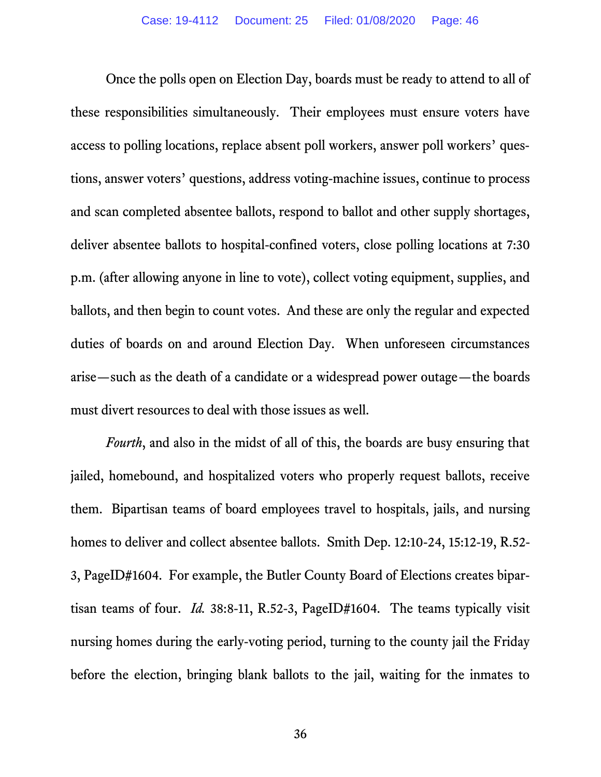Once the polls open on Election Day, boards must be ready to attend to all of these responsibilities simultaneously. Their employees must ensure voters have access to polling locations, replace absent poll workers, answer poll workers' questions, answer voters' questions, address voting-machine issues, continue to process and scan completed absentee ballots, respond to ballot and other supply shortages, deliver absentee ballots to hospital-confined voters, close polling locations at 7:30 p.m. (after allowing anyone in line to vote), collect voting equipment, supplies, and ballots, and then begin to count votes. And these are only the regular and expected duties of boards on and around Election Day. When unforeseen circumstances arise—such as the death of a candidate or a widespread power outage—the boards must divert resources to deal with those issues as well.

*Fourth*, and also in the midst of all of this, the boards are busy ensuring that jailed, homebound, and hospitalized voters who properly request ballots, receive them.Bipartisan teams of board employees travel to hospitals, jails, and nursing homes to deliver and collect absentee ballots. Smith Dep. 12:10-24, 15:12-19, R.52- 3, PageID#1604. For example, the Butler County Board of Elections creates bipartisan teams of four. *Id.* 38:8-11, R.52-3, PageID#1604. The teams typically visit nursing homes during the early-voting period, turning to the county jail the Friday before the election, bringing blank ballots to the jail, waiting for the inmates to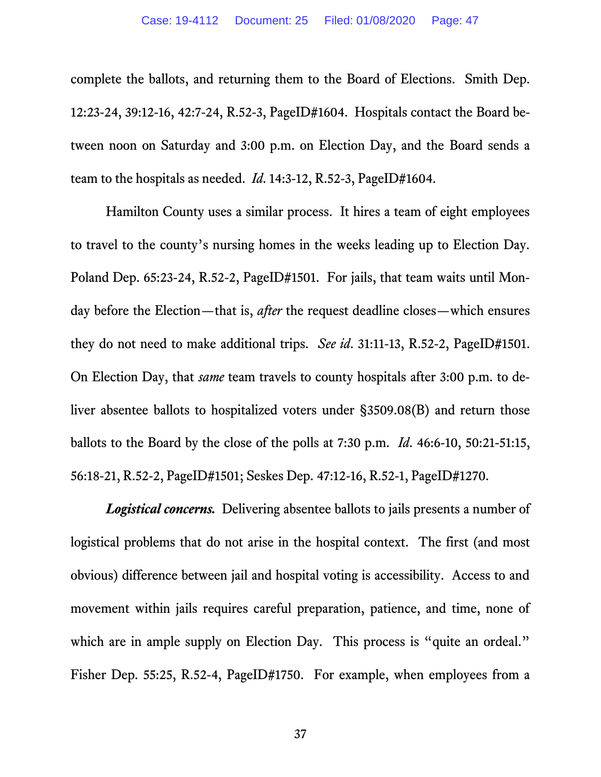complete the ballots, and returning them to the Board of Elections. Smith Dep. 12:23-24, 39:12-16, 42:7-24, R.52-3, PageID#1604. Hospitals contact the Board between noon on Saturday and 3:00 p.m. on Election Day, and the Board sends a team to the hospitals as needed. *Id*. 14:3-12, R.52-3, PageID#1604.

Hamilton County uses a similar process. It hires a team of eight employees to travel to the county's nursing homes in the weeks leading up to Election Day. Poland Dep. 65:23-24, R.52-2, PageID#1501. For jails, that team waits until Monday before the Election—that is, *after* the request deadline closes—which ensures they do not need to make additional trips. *See id*. 31:11-13, R.52-2, PageID#1501. On Election Day, that *same* team travels to county hospitals after 3:00 p.m. to deliver absentee ballots to hospitalized voters under §3509.08(B) and return those ballots to the Board by the close of the polls at 7:30 p.m. *Id*. 46:6-10, 50:21-51:15, 56:18-21, R.52-2, PageID#1501; Seskes Dep. 47:12-16, R.52-1, PageID#1270.

*Logistical concerns.* Delivering absentee ballots to jails presents a number of logistical problems that do not arise in the hospital context. The first (and most obvious) difference between jail and hospital voting is accessibility. Access to and movement within jails requires careful preparation, patience, and time, none of which are in ample supply on Election Day. This process is "quite an ordeal." Fisher Dep. 55:25, R.52-4, PageID#1750. For example, when employees from a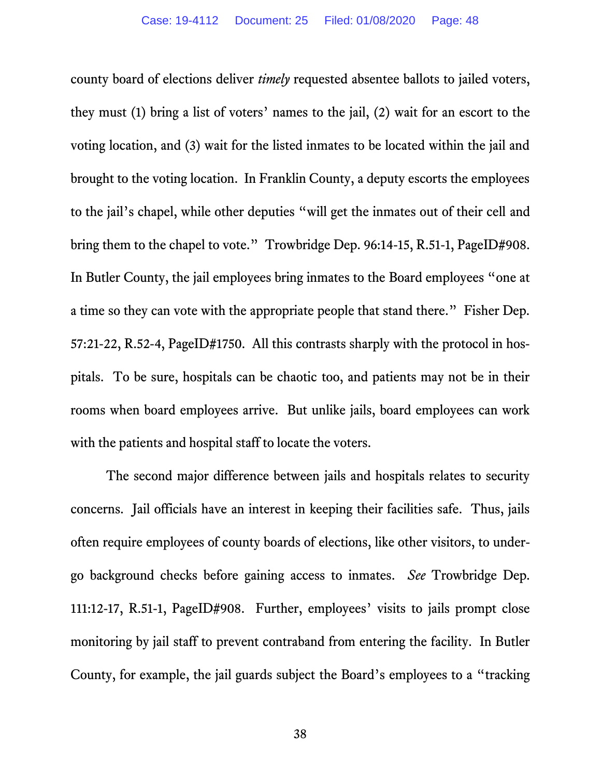county board of elections deliver *timely* requested absentee ballots to jailed voters, they must (1) bring a list of voters' names to the jail, (2) wait for an escort to the voting location, and (3) wait for the listed inmates to be located within the jail and brought to the voting location. In Franklin County, a deputy escorts the employees to the jail's chapel, while other deputies "will get the inmates out of their cell and bring them to the chapel to vote." Trowbridge Dep. 96:14-15, R.51-1, PageID#908. In Butler County, the jail employees bring inmates to the Board employees "one at a time so they can vote with the appropriate people that stand there." Fisher Dep. 57:21-22, R.52-4, PageID#1750. All this contrasts sharply with the protocol in hospitals. To be sure, hospitals can be chaotic too, and patients may not be in their rooms when board employees arrive. But unlike jails, board employees can work with the patients and hospital staff to locate the voters.

The second major difference between jails and hospitals relates to security concerns. Jail officials have an interest in keeping their facilities safe. Thus, jails often require employees of county boards of elections, like other visitors, to undergo background checks before gaining access to inmates. *See* Trowbridge Dep. 111:12-17, R.51-1, PageID#908. Further, employees' visits to jails prompt close monitoring by jail staff to prevent contraband from entering the facility. In Butler County, for example, the jail guards subject the Board's employees to a "tracking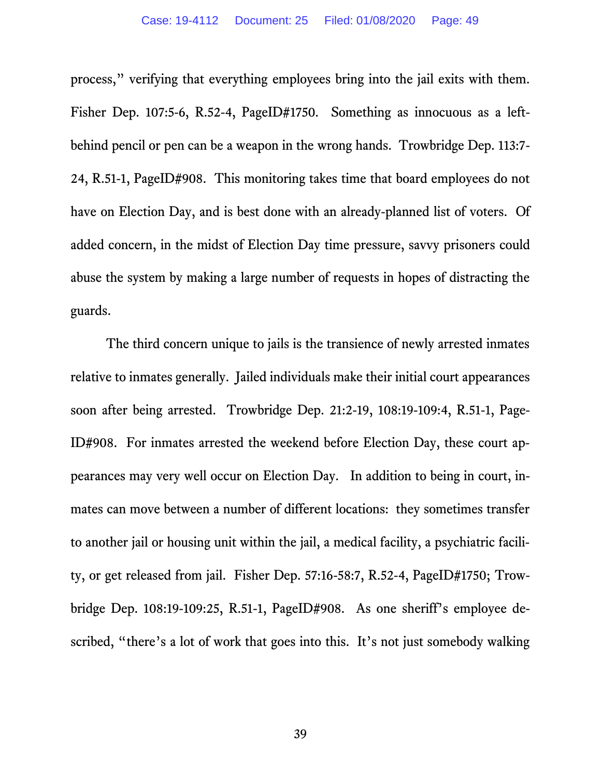process," verifying that everything employees bring into the jail exits with them. Fisher Dep. 107:5-6, R.52-4, PageID#1750. Something as innocuous as a leftbehind pencil or pen can be a weapon in the wrong hands. Trowbridge Dep. 113:7- 24, R.51-1, PageID#908. This monitoring takes time that board employees do not have on Election Day, and is best done with an already-planned list of voters. Of added concern, in the midst of Election Day time pressure, savvy prisoners could abuse the system by making a large number of requests in hopes of distracting the guards.

The third concern unique to jails is the transience of newly arrested inmates relative to inmates generally. Jailed individuals make their initial court appearances soon after being arrested. Trowbridge Dep. 21:2-19, 108:19-109:4, R.51-1, Page-ID#908. For inmates arrested the weekend before Election Day, these court appearances may very well occur on Election Day. In addition to being in court, inmates can move between a number of different locations: they sometimes transfer to another jail or housing unit within the jail, a medical facility, a psychiatric facility, or get released from jail. Fisher Dep. 57:16-58:7, R.52-4, PageID#1750; Trowbridge Dep. 108:19-109:25, R.51-1, PageID#908. As one sheriff's employee described, "there's a lot of work that goes into this. It's not just somebody walking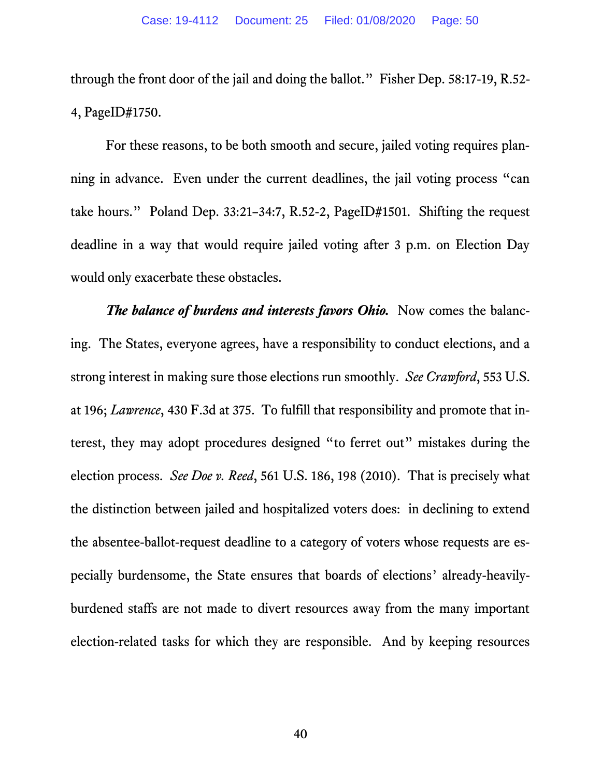through the front door of the jail and doing the ballot." Fisher Dep. 58:17-19, R.52- 4, PageID#1750.

For these reasons, to be both smooth and secure, jailed voting requires planning in advance. Even under the current deadlines, the jail voting process "can take hours." Poland Dep. 33:21–34:7, R.52-2, PageID#1501. Shifting the request deadline in a way that would require jailed voting after 3 p.m. on Election Day would only exacerbate these obstacles.

*The balance of burdens and interests favors Ohio.* Now comes the balancing. The States, everyone agrees, have a responsibility to conduct elections, and a strong interest in making sure those elections run smoothly. *See Crawford*, 553 U.S. at 196; *Lawrence*, 430 F.3d at 375. To fulfill that responsibility and promote that interest, they may adopt procedures designed "to ferret out" mistakes during the election process. *See Doe v. Reed*, 561 U.S. 186, 198 (2010). That is precisely what the distinction between jailed and hospitalized voters does: in declining to extend the absentee-ballot-request deadline to a category of voters whose requests are especially burdensome, the State ensures that boards of elections' already-heavilyburdened staffs are not made to divert resources away from the many important election-related tasks for which they are responsible. And by keeping resources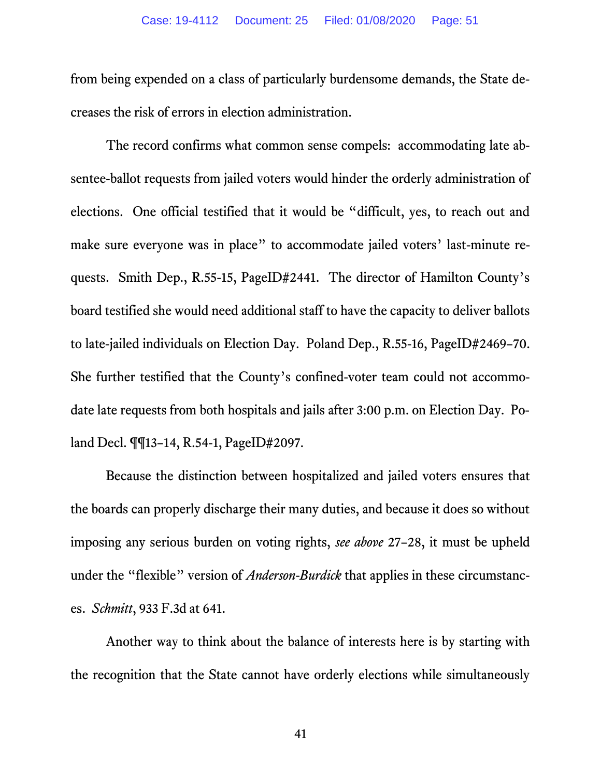from being expended on a class of particularly burdensome demands, the State decreases the risk of errors in election administration.

The record confirms what common sense compels: accommodating late absentee-ballot requests from jailed voters would hinder the orderly administration of elections. One official testified that it would be "difficult, yes, to reach out and make sure everyone was in place" to accommodate jailed voters' last-minute requests. Smith Dep., R.55-15, PageID#2441. The director of Hamilton County's board testified she would need additional staff to have the capacity to deliver ballots to late-jailed individuals on Election Day. Poland Dep., R.55-16, PageID#2469–70. She further testified that the County's confined-voter team could not accommodate late requests from both hospitals and jails after 3:00 p.m. on Election Day. Poland Decl. ¶¶13–14, R.54-1, PageID#2097.

Because the distinction between hospitalized and jailed voters ensures that the boards can properly discharge their many duties, and because it does so without imposing any serious burden on voting rights, *see above* 27–28, it must be upheld under the "flexible" version of *Anderson-Burdick* that applies in these circumstances. *Schmitt*, 933 F.3d at 641.

Another way to think about the balance of interests here is by starting with the recognition that the State cannot have orderly elections while simultaneously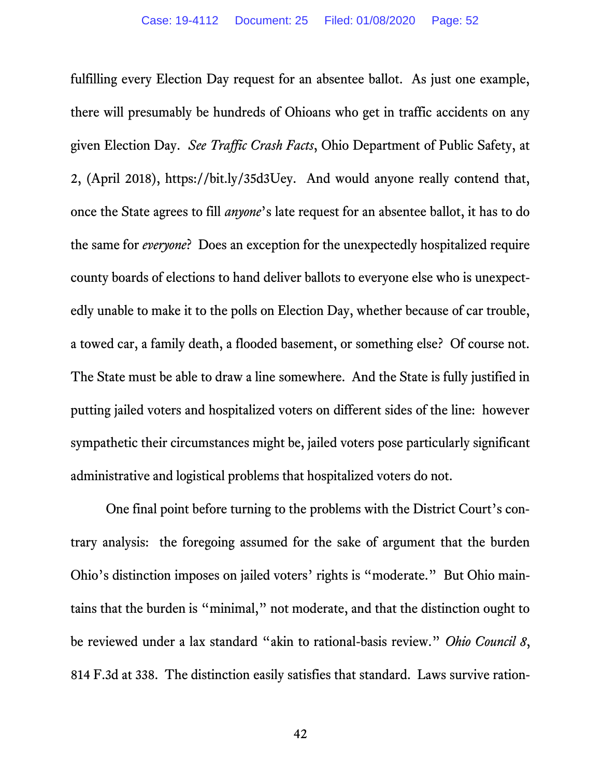fulfilling every Election Day request for an absentee ballot. As just one example, there will presumably be hundreds of Ohioans who get in traffic accidents on any given Election Day. *See Traffic Crash Facts*, Ohio Department of Public Safety, at 2, (April 2018), https://bit.ly/35d3Uey. And would anyone really contend that, once the State agrees to fill *anyone*'s late request for an absentee ballot, it has to do the same for *everyone*? Does an exception for the unexpectedly hospitalized require county boards of elections to hand deliver ballots to everyone else who is unexpectedly unable to make it to the polls on Election Day, whether because of car trouble, a towed car, a family death, a flooded basement, or something else? Of course not. The State must be able to draw a line somewhere. And the State is fully justified in putting jailed voters and hospitalized voters on different sides of the line: however sympathetic their circumstances might be, jailed voters pose particularly significant administrative and logistical problems that hospitalized voters do not.

One final point before turning to the problems with the District Court's contrary analysis: the foregoing assumed for the sake of argument that the burden Ohio's distinction imposes on jailed voters' rights is "moderate." But Ohio maintains that the burden is "minimal," not moderate, and that the distinction ought to be reviewed under a lax standard "akin to rational-basis review." *Ohio Council 8*, 814 F.3d at 338. The distinction easily satisfies that standard. Laws survive ration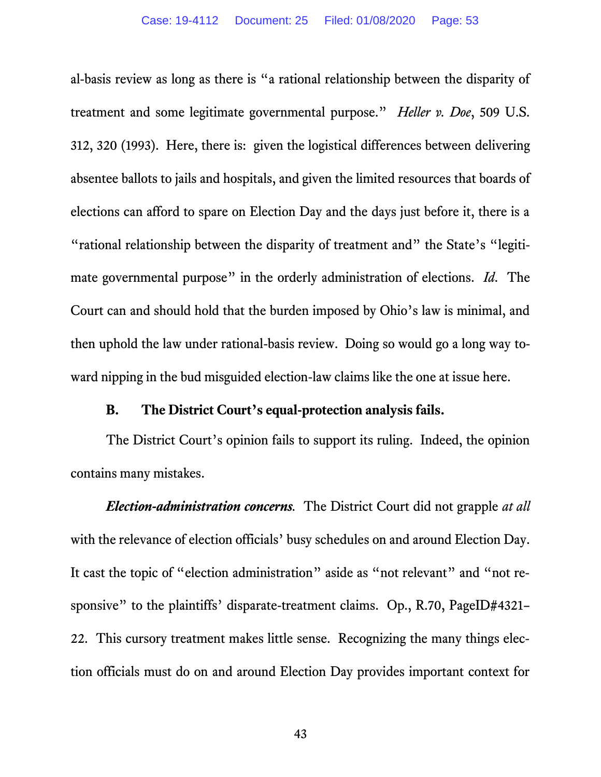al-basis review as long as there is "a rational relationship between the disparity of treatment and some legitimate governmental purpose." *Heller v. Doe*, 509 U.S. 312, 320 (1993). Here, there is: given the logistical differences between delivering absentee ballots to jails and hospitals, and given the limited resources that boards of elections can afford to spare on Election Day and the days just before it, there is a "rational relationship between the disparity of treatment and" the State's "legitimate governmental purpose" in the orderly administration of elections. *Id*. The Court can and should hold that the burden imposed by Ohio's law is minimal, and then uphold the law under rational-basis review. Doing so would go a long way toward nipping in the bud misguided election-law claims like the one at issue here.

#### **B. The District Court's equal-protection analysis fails.**

The District Court's opinion fails to support its ruling. Indeed, the opinion contains many mistakes.

*Election-administration concerns.* The District Court did not grapple *at all*  with the relevance of election officials' busy schedules on and around Election Day. It cast the topic of "election administration" aside as "not relevant" and "not responsive" to the plaintiffs' disparate-treatment claims. Op., R.70, PageID#4321– 22. This cursory treatment makes little sense. Recognizing the many things election officials must do on and around Election Day provides important context for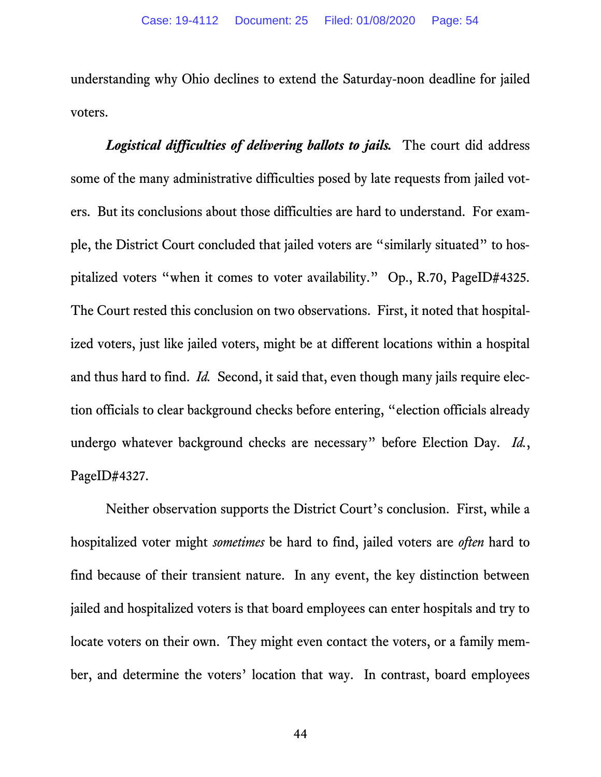understanding why Ohio declines to extend the Saturday-noon deadline for jailed voters.

*Logistical difficulties of delivering ballots to jails.* The court did address some of the many administrative difficulties posed by late requests from jailed voters. But its conclusions about those difficulties are hard to understand. For example, the District Court concluded that jailed voters are "similarly situated" to hospitalized voters "when it comes to voter availability." Op., R.70, PageID#4325. The Court rested this conclusion on two observations. First, it noted that hospitalized voters, just like jailed voters, might be at different locations within a hospital and thus hard to find. *Id.* Second, it said that, even though many jails require election officials to clear background checks before entering, "election officials already undergo whatever background checks are necessary" before Election Day. *Id.*, PageID#4327.

Neither observation supports the District Court's conclusion. First, while a hospitalized voter might *sometimes* be hard to find, jailed voters are *often* hard to find because of their transient nature. In any event, the key distinction between jailed and hospitalized voters is that board employees can enter hospitals and try to locate voters on their own. They might even contact the voters, or a family member, and determine the voters' location that way. In contrast, board employees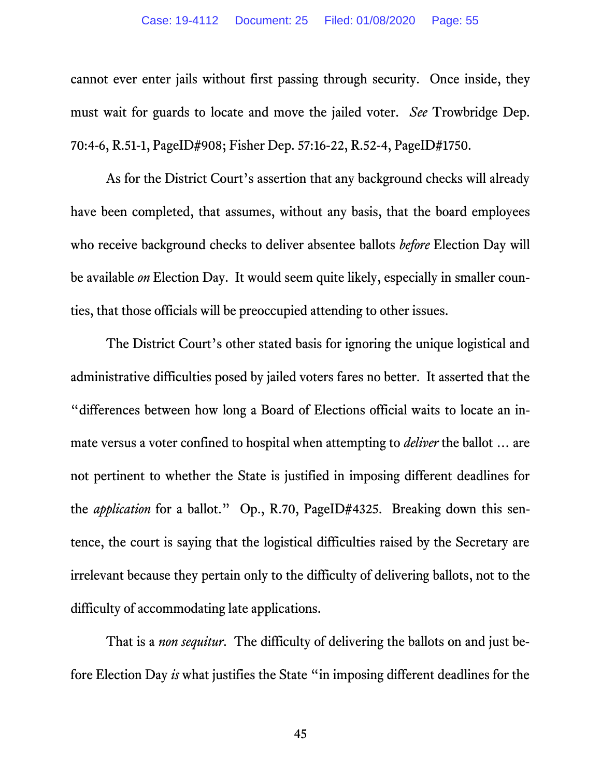cannot ever enter jails without first passing through security. Once inside, they must wait for guards to locate and move the jailed voter. *See* Trowbridge Dep. 70:4-6, R.51-1, PageID#908; Fisher Dep. 57:16-22, R.52-4, PageID#1750.

As for the District Court's assertion that any background checks will already have been completed, that assumes, without any basis, that the board employees who receive background checks to deliver absentee ballots *before* Election Day will be available *on* Election Day. It would seem quite likely, especially in smaller counties, that those officials will be preoccupied attending to other issues.

The District Court's other stated basis for ignoring the unique logistical and administrative difficulties posed by jailed voters fares no better. It asserted that the "differences between how long a Board of Elections official waits to locate an inmate versus a voter confined to hospital when attempting to *deliver* the ballot … are not pertinent to whether the State is justified in imposing different deadlines for the *application* for a ballot." Op., R.70, PageID#4325. Breaking down this sentence, the court is saying that the logistical difficulties raised by the Secretary are irrelevant because they pertain only to the difficulty of delivering ballots, not to the difficulty of accommodating late applications.

That is a *non sequitur*. The difficulty of delivering the ballots on and just before Election Day *is* what justifies the State "in imposing different deadlines for the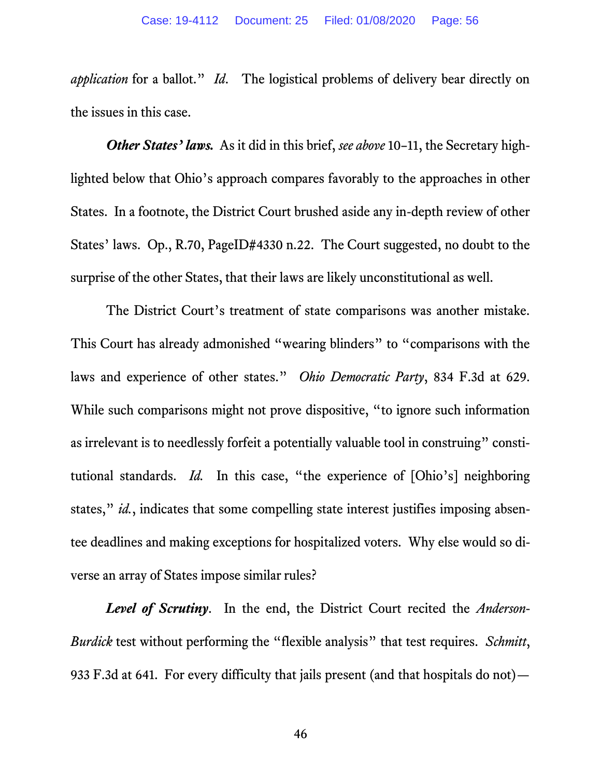*application* for a ballot." *Id*. The logistical problems of delivery bear directly on the issues in this case.

*Other States' laws.* As it did in this brief, *see above* 10–11, the Secretary highlighted below that Ohio's approach compares favorably to the approaches in other States. In a footnote, the District Court brushed aside any in-depth review of other States' laws. Op., R.70, PageID#4330 n.22. The Court suggested, no doubt to the surprise of the other States, that their laws are likely unconstitutional as well.

The District Court's treatment of state comparisons was another mistake. This Court has already admonished "wearing blinders" to "comparisons with the laws and experience of other states." *Ohio Democratic Party*, 834 F.3d at 629. While such comparisons might not prove dispositive, "to ignore such information as irrelevant is to needlessly forfeit a potentially valuable tool in construing" constitutional standards. *Id.* In this case, "the experience of [Ohio's] neighboring states," *id.*, indicates that some compelling state interest justifies imposing absentee deadlines and making exceptions for hospitalized voters. Why else would so diverse an array of States impose similar rules?

*Level of Scrutiny*. In the end, the District Court recited the *Anderson-Burdick* test without performing the "flexible analysis" that test requires. *Schmitt*, 933 F.3d at 641.For every difficulty that jails present (and that hospitals do not)—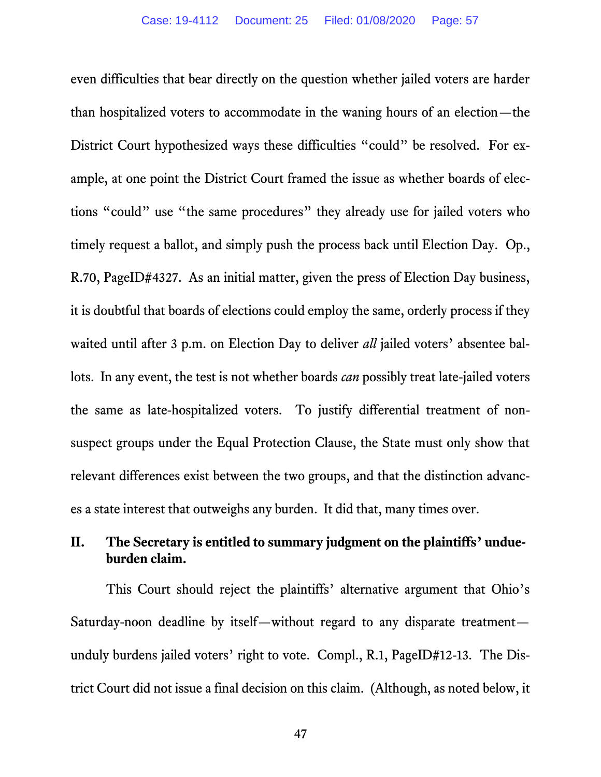even difficulties that bear directly on the question whether jailed voters are harder than hospitalized voters to accommodate in the waning hours of an election—the District Court hypothesized ways these difficulties "could" be resolved. For example, at one point the District Court framed the issue as whether boards of elections "could" use "the same procedures" they already use for jailed voters who timely request a ballot, and simply push the process back until Election Day. Op., R.70, PageID#4327.As an initial matter, given the press of Election Day business, it is doubtful that boards of elections could employ the same, orderly process if they waited until after 3 p.m. on Election Day to deliver *all* jailed voters' absentee ballots. In any event, the test is not whether boards *can* possibly treat late-jailed voters the same as late-hospitalized voters. To justify differential treatment of nonsuspect groups under the Equal Protection Clause, the State must only show that relevant differences exist between the two groups, and that the distinction advances a state interest that outweighs any burden. It did that, many times over.

# **II. The Secretary is entitled to summary judgment on the plaintiffs' undueburden claim.**

This Court should reject the plaintiffs' alternative argument that Ohio's Saturday-noon deadline by itself—without regard to any disparate treatment unduly burdens jailed voters' right to vote. Compl., R.1, PageID#12-13. The District Court did not issue a final decision on this claim. (Although, as noted below, it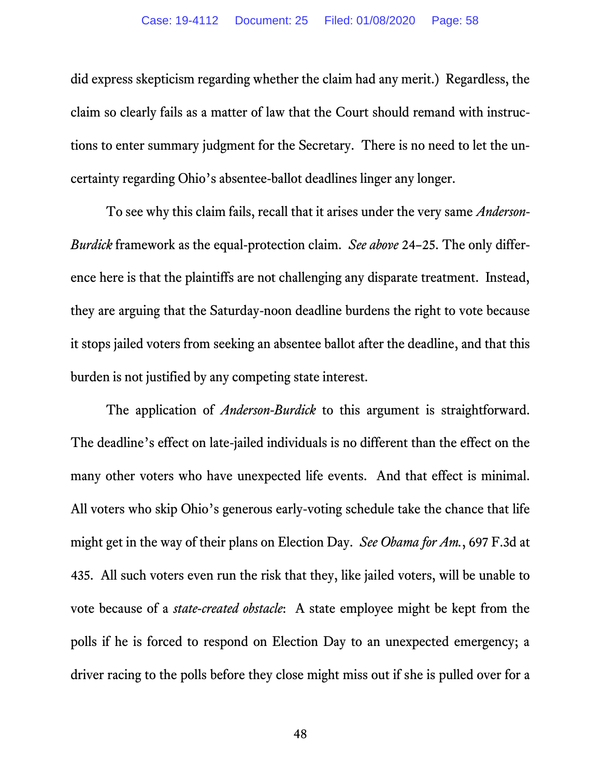did express skepticism regarding whether the claim had any merit.) Regardless, the claim so clearly fails as a matter of law that the Court should remand with instructions to enter summary judgment for the Secretary. There is no need to let the uncertainty regarding Ohio's absentee-ballot deadlines linger any longer.

To see why this claim fails, recall that it arises under the very same *Anderson-Burdick* framework as the equal-protection claim. *See above* 24–25. The only difference here is that the plaintiffs are not challenging any disparate treatment. Instead, they are arguing that the Saturday-noon deadline burdens the right to vote because it stops jailed voters from seeking an absentee ballot after the deadline, and that this burden is not justified by any competing state interest.

The application of *Anderson-Burdick* to this argument is straightforward. The deadline's effect on late-jailed individuals is no different than the effect on the many other voters who have unexpected life events. And that effect is minimal. All voters who skip Ohio's generous early-voting schedule take the chance that life might get in the way of their plans on Election Day. *See Obama for Am.*, 697 F.3d at 435. All such voters even run the risk that they, like jailed voters, will be unable to vote because of a *state-created obstacle*: A state employee might be kept from the polls if he is forced to respond on Election Day to an unexpected emergency; a driver racing to the polls before they close might miss out if she is pulled over for a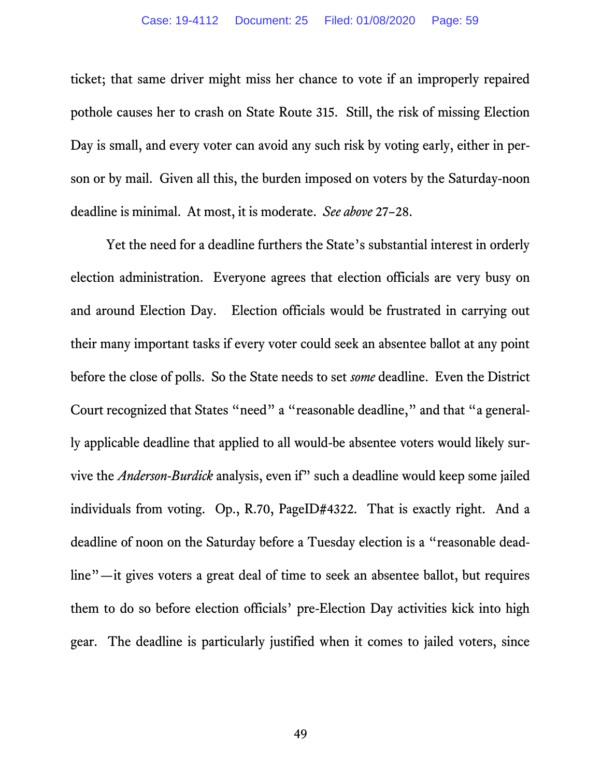ticket; that same driver might miss her chance to vote if an improperly repaired pothole causes her to crash on State Route 315. Still, the risk of missing Election Day is small, and every voter can avoid any such risk by voting early, either in person or by mail. Given all this, the burden imposed on voters by the Saturday-noon deadline is minimal. At most, it is moderate. *See above* 27–28.

Yet the need for a deadline furthers the State's substantial interest in orderly election administration. Everyone agrees that election officials are very busy on and around Election Day. Election officials would be frustrated in carrying out their many important tasks if every voter could seek an absentee ballot at any point before the close of polls. So the State needs to set *some* deadline. Even the District Court recognized that States "need" a "reasonable deadline," and that "a generally applicable deadline that applied to all would-be absentee voters would likely survive the *Anderson-Burdick* analysis, even if" such a deadline would keep some jailed individuals from voting. Op., R.70, PageID#4322. That is exactly right. And a deadline of noon on the Saturday before a Tuesday election is a "reasonable deadline"—it gives voters a great deal of time to seek an absentee ballot, but requires them to do so before election officials' pre-Election Day activities kick into high gear. The deadline is particularly justified when it comes to jailed voters, since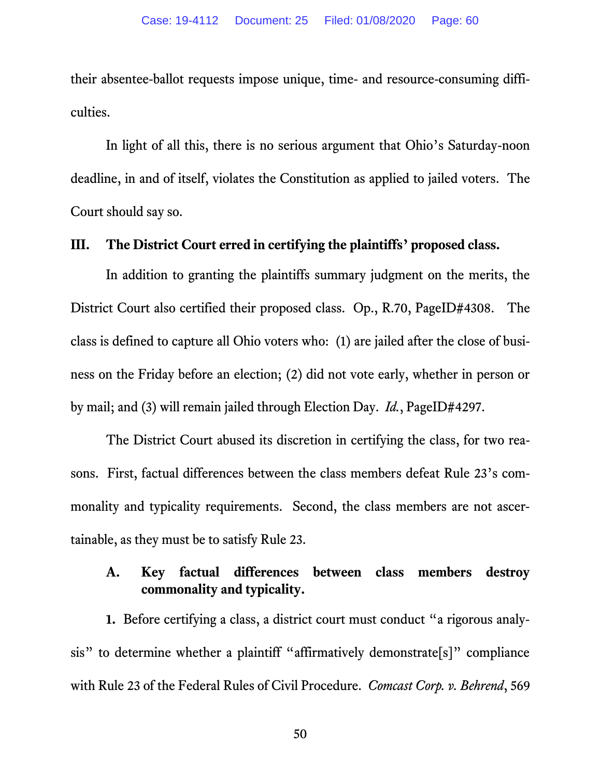their absentee-ballot requests impose unique, time- and resource-consuming difficulties.

In light of all this, there is no serious argument that Ohio's Saturday-noon deadline, in and of itself, violates the Constitution as applied to jailed voters. The Court should say so.

#### **III. The District Court erred in certifying the plaintiffs' proposed class.**

In addition to granting the plaintiffs summary judgment on the merits, the District Court also certified their proposed class. Op., R.70, PageID#4308. The class is defined to capture all Ohio voters who: (1) are jailed after the close of business on the Friday before an election; (2) did not vote early, whether in person or by mail; and (3) will remain jailed through Election Day. *Id.*, PageID#4297.

The District Court abused its discretion in certifying the class, for two reasons. First, factual differences between the class members defeat Rule 23's commonality and typicality requirements. Second, the class members are not ascertainable, as they must be to satisfy Rule 23.

### **A. Key factual differences between class members destroy commonality and typicality.**

**1.** Before certifying a class, a district court must conduct "a rigorous analysis" to determine whether a plaintiff "affirmatively demonstrate[s]" compliance with Rule 23 of the Federal Rules of Civil Procedure. *Comcast Corp. v. Behrend*, 569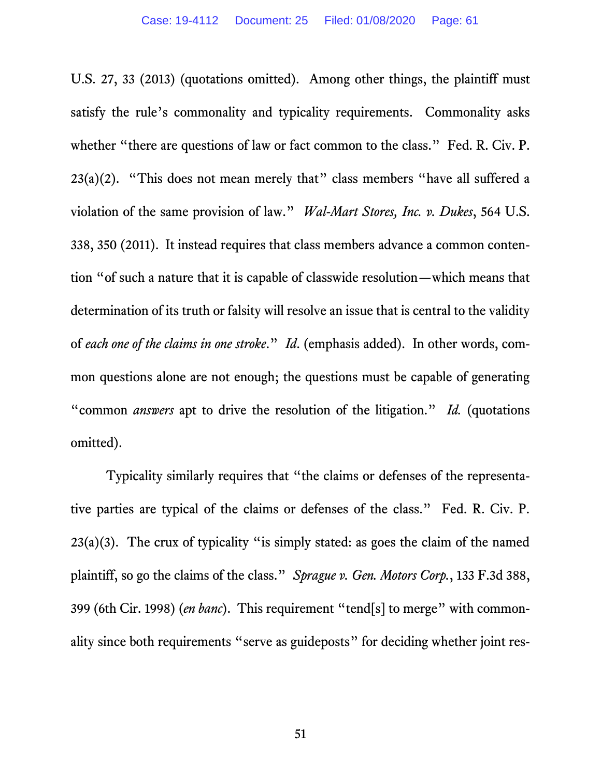U.S. 27, 33 (2013) (quotations omitted). Among other things, the plaintiff must satisfy the rule's commonality and typicality requirements. Commonality asks whether "there are questions of law or fact common to the class." Fed. R. Civ. P.  $23(a)(2)$ . "This does not mean merely that" class members "have all suffered a violation of the same provision of law." *Wal-Mart Stores, Inc. v. Dukes*, 564 U.S. 338, 350 (2011). It instead requires that class members advance a common contention "of such a nature that it is capable of classwide resolution—which means that determination of its truth or falsity will resolve an issue that is central to the validity of *each one of the claims in one stroke*." *Id*. (emphasis added). In other words, common questions alone are not enough; the questions must be capable of generating "common *answers* apt to drive the resolution of the litigation." *Id.* (quotations omitted).

Typicality similarly requires that "the claims or defenses of the representative parties are typical of the claims or defenses of the class." Fed. R. Civ. P.  $23(a)(3)$ . The crux of typicality "is simply stated: as goes the claim of the named plaintiff, so go the claims of the class." *Sprague v. Gen. Motors Corp.*, 133 F.3d 388, 399 (6th Cir. 1998) (*en banc*). This requirement "tend[s] to merge" with commonality since both requirements "serve as guideposts" for deciding whether joint res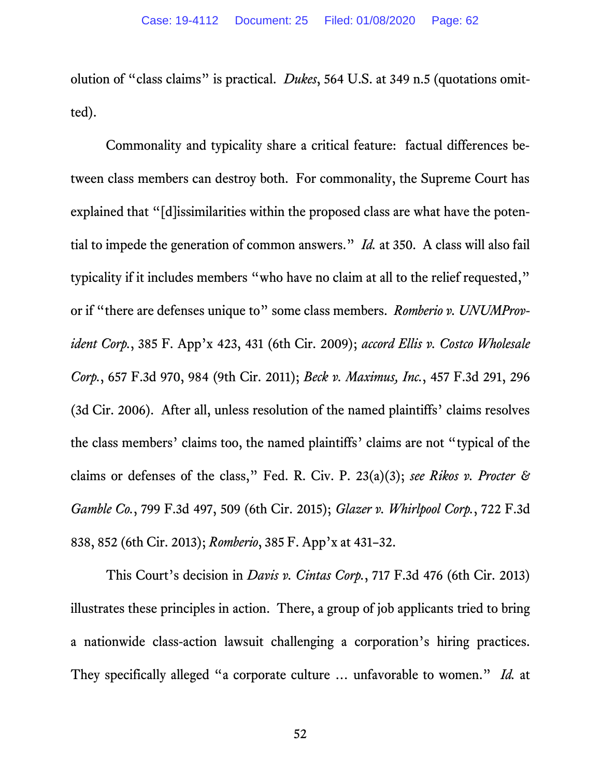olution of "class claims" is practical. *Dukes*, 564 U.S. at 349 n.5 (quotations omitted).

Commonality and typicality share a critical feature: factual differences between class members can destroy both. For commonality, the Supreme Court has explained that "[d]issimilarities within the proposed class are what have the potential to impede the generation of common answers." *Id.* at 350. A class will also fail typicality if it includes members "who have no claim at all to the relief requested, " or if "there are defenses unique to" some class members. *Romberio v. UNUMProvident Corp.*, 385 F. App'x 423, 431 (6th Cir. 2009); *accord Ellis v. Costco Wholesale Corp.*, 657 F.3d 970, 984 (9th Cir. 2011); *Beck v. Maximus, Inc.*, 457 F.3d 291, 296 (3d Cir. 2006). After all, unless resolution of the named plaintiffs' claims resolves the class members' claims too, the named plaintiffs' claims are not "typical of the claims or defenses of the class," Fed. R. Civ. P. 23(a)(3); *see Rikos v. Procter & Gamble Co.*, 799 F.3d 497, 509 (6th Cir. 2015); *Glazer v. Whirlpool Corp.*, 722 F.3d 838, 852 (6th Cir. 2013); *Romberio*, 385 F. App'x at 431–32.

This Court's decision in *Davis v. Cintas Corp.*, 717 F.3d 476 (6th Cir. 2013) illustrates these principles in action. There, a group of job applicants tried to bring a nationwide class-action lawsuit challenging a corporation's hiring practices. They specifically alleged "a corporate culture … unfavorable to women." *Id.* at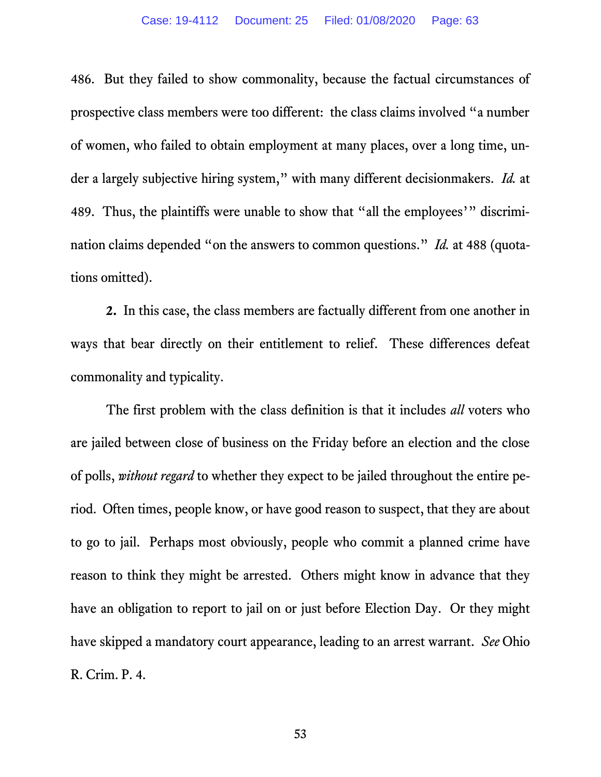486. But they failed to show commonality, because the factual circumstances of prospective class members were too different: the class claims involved "a number of women, who failed to obtain employment at many places, over a long time, under a largely subjective hiring system," with many different decisionmakers. *Id.* at 489. Thus, the plaintiffs were unable to show that "all the employees'" discrimination claims depended "on the answers to common questions." *Id.* at 488 (quotations omitted).

**2.** In this case, the class members are factually different from one another in ways that bear directly on their entitlement to relief. These differences defeat commonality and typicality.

The first problem with the class definition is that it includes *all* voters who are jailed between close of business on the Friday before an election and the close of polls, *without regard* to whether they expect to be jailed throughout the entire period. Often times, people know, or have good reason to suspect, that they are about to go to jail. Perhaps most obviously, people who commit a planned crime have reason to think they might be arrested. Others might know in advance that they have an obligation to report to jail on or just before Election Day. Or they might have skipped a mandatory court appearance, leading to an arrest warrant. *See* Ohio R. Crim. P. 4.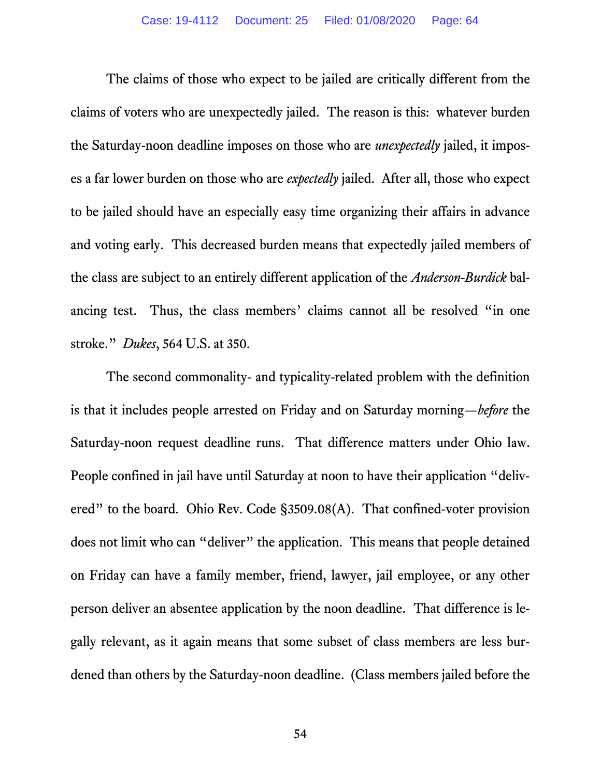The claims of those who expect to be jailed are critically different from the claims of voters who are unexpectedly jailed. The reason is this: whatever burden the Saturday-noon deadline imposes on those who are *unexpectedly* jailed, it imposes a far lower burden on those who are *expectedly* jailed. After all, those who expect to be jailed should have an especially easy time organizing their affairs in advance and voting early. This decreased burden means that expectedly jailed members of the class are subject to an entirely different application of the *Anderson-Burdick* balancing test. Thus, the class members' claims cannot all be resolved "in one stroke." *Dukes*, 564 U.S. at 350.

The second commonality- and typicality-related problem with the definition is that it includes people arrested on Friday and on Saturday morning—*before* the Saturday-noon request deadline runs. That difference matters under Ohio law. People confined in jail have until Saturday at noon to have their application "delivered" to the board. Ohio Rev. Code §3509.08(A). That confined-voter provision does not limit who can "deliver" the application. This means that people detained on Friday can have a family member, friend, lawyer, jail employee, or any other person deliver an absentee application by the noon deadline. That difference is legally relevant, as it again means that some subset of class members are less burdened than others by the Saturday-noon deadline. (Class members jailed before the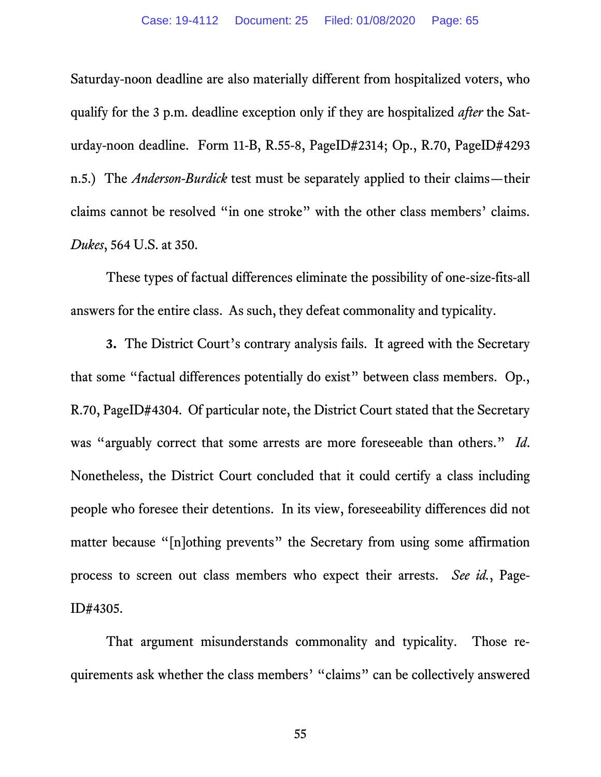Saturday-noon deadline are also materially different from hospitalized voters, who qualify for the 3 p.m. deadline exception only if they are hospitalized *after* the Saturday-noon deadline. Form 11-B, R.55-8, PageID#2314; Op., R.70, PageID#4293 n.5.) The *Anderson-Burdick* test must be separately applied to their claims—their claims cannot be resolved "in one stroke" with the other class members' claims. *Dukes*, 564 U.S. at 350.

These types of factual differences eliminate the possibility of one-size-fits-all answers for the entire class. As such, they defeat commonality and typicality.

**3.** The District Court's contrary analysis fails. It agreed with the Secretary that some "factual differences potentially do exist" between class members. Op., R.70, PageID#4304. Of particular note, the District Court stated that the Secretary was "arguably correct that some arrests are more foreseeable than others." *Id*. Nonetheless, the District Court concluded that it could certify a class including people who foresee their detentions. In its view, foreseeability differences did not matter because "[n]othing prevents" the Secretary from using some affirmation process to screen out class members who expect their arrests. *See id.*, Page-ID#4305.

That argument misunderstands commonality and typicality. Those requirements ask whether the class members' "claims" can be collectively answered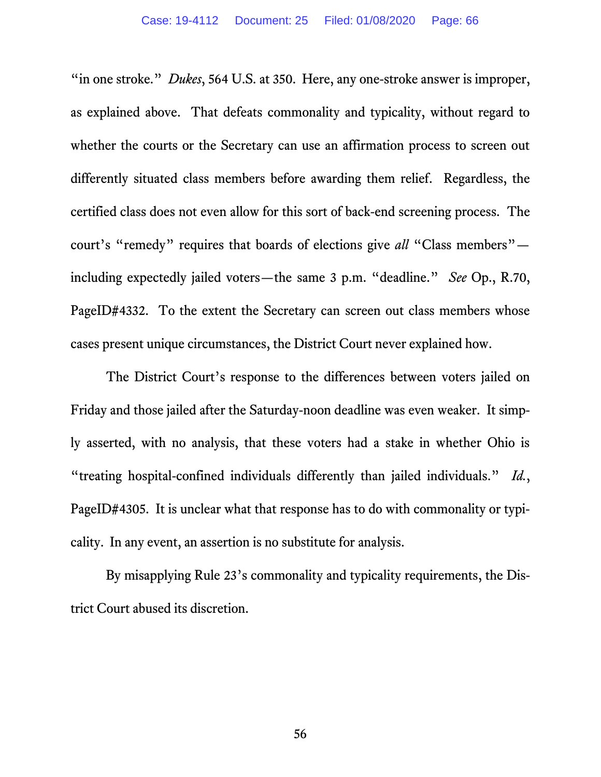"in one stroke." *Dukes*, 564 U.S. at 350. Here, any one-stroke answer is improper, as explained above. That defeats commonality and typicality, without regard to whether the courts or the Secretary can use an affirmation process to screen out differently situated class members before awarding them relief. Regardless, the certified class does not even allow for this sort of back-end screening process. The court's "remedy" requires that boards of elections give *all* "Class members" including expectedly jailed voters—the same 3 p.m. "deadline." *See* Op., R.70, PageID#4332. To the extent the Secretary can screen out class members whose cases present unique circumstances, the District Court never explained how.

The District Court's response to the differences between voters jailed on Friday and those jailed after the Saturday-noon deadline was even weaker. It simply asserted, with no analysis, that these voters had a stake in whether Ohio is "treating hospital-confined individuals differently than jailed individuals." *Id.*, PageID#4305. It is unclear what that response has to do with commonality or typicality. In any event, an assertion is no substitute for analysis.

By misapplying Rule 23's commonality and typicality requirements, the District Court abused its discretion.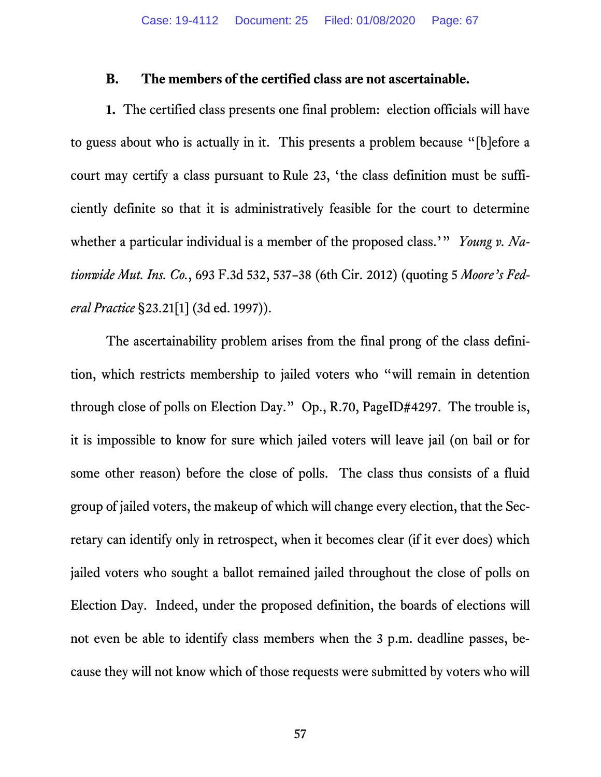#### **B. The members of the certified class are not ascertainable.**

**1.** The certified class presents one final problem: election officials will have to guess about who is actually in it. This presents a problem because "[b]efore a court may certify a class pursuant to Rule 23, 'the class definition must be sufficiently definite so that it is administratively feasible for the court to determine whether a particular individual is a member of the proposed class.'" *Young v. Nationwide Mut. Ins. Co.*, 693 F.3d 532, 537–38 (6th Cir. 2012) (quoting 5 *Moore's Federal Practice* §23.21[1] (3d ed. 1997)).

The ascertainability problem arises from the final prong of the class definition, which restricts membership to jailed voters who "will remain in detention through close of polls on Election Day." Op., R.70, PageID#4297. The trouble is, it is impossible to know for sure which jailed voters will leave jail (on bail or for some other reason) before the close of polls. The class thus consists of a fluid group of jailed voters, the makeup of which will change every election, that the Secretary can identify only in retrospect, when it becomes clear (if it ever does) which jailed voters who sought a ballot remained jailed throughout the close of polls on Election Day. Indeed, under the proposed definition, the boards of elections will not even be able to identify class members when the 3 p.m. deadline passes, because they will not know which of those requests were submitted by voters who will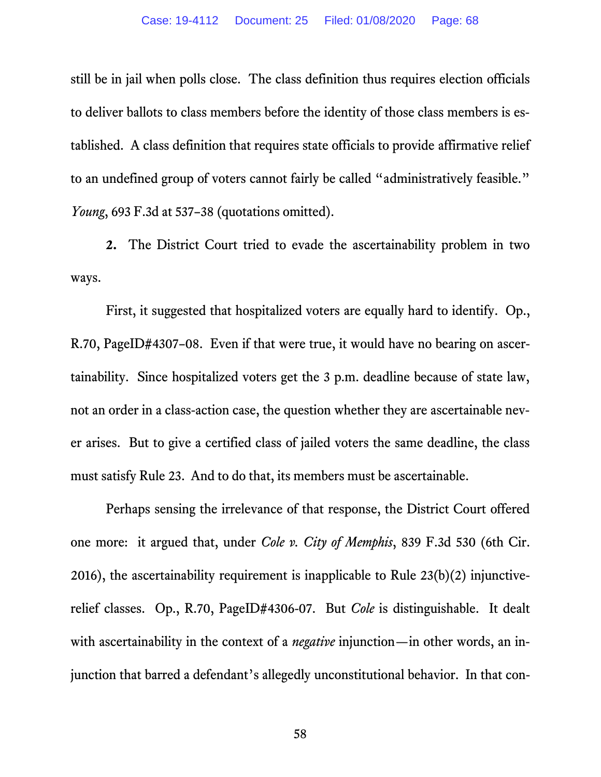still be in jail when polls close. The class definition thus requires election officials to deliver ballots to class members before the identity of those class members is established. A class definition that requires state officials to provide affirmative relief to an undefined group of voters cannot fairly be called "administratively feasible." *Young*, 693 F.3d at 537–38 (quotations omitted).

**2.** The District Court tried to evade the ascertainability problem in two ways.

First, it suggested that hospitalized voters are equally hard to identify. Op., R.70, PageID#4307–08. Even if that were true, it would have no bearing on ascertainability. Since hospitalized voters get the 3 p.m. deadline because of state law, not an order in a class-action case, the question whether they are ascertainable never arises. But to give a certified class of jailed voters the same deadline, the class must satisfy Rule 23. And to do that, its members must be ascertainable.

Perhaps sensing the irrelevance of that response, the District Court offered one more: it argued that, under *Cole v. City of Memphis*, 839 F.3d 530 (6th Cir. 2016), the ascertainability requirement is inapplicable to Rule 23(b)(2) injunctiverelief classes. Op., R.70, PageID#4306-07. But *Cole* is distinguishable. It dealt with ascertainability in the context of a *negative* injunction—in other words, an injunction that barred a defendant's allegedly unconstitutional behavior. In that con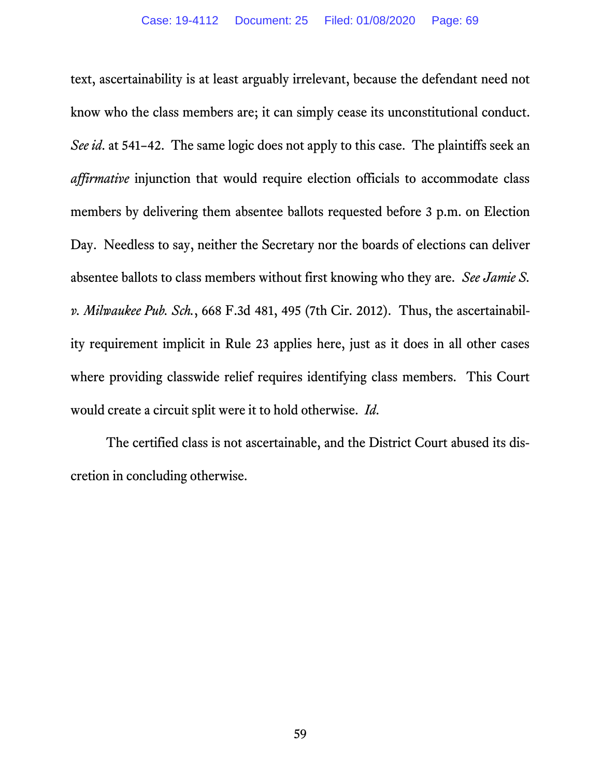text, ascertainability is at least arguably irrelevant, because the defendant need not know who the class members are; it can simply cease its unconstitutional conduct. *See id*. at 541–42. The same logic does not apply to this case. The plaintiffs seek an *affirmative* injunction that would require election officials to accommodate class members by delivering them absentee ballots requested before 3 p.m. on Election Day. Needless to say, neither the Secretary nor the boards of elections can deliver absentee ballots to class members without first knowing who they are. *See Jamie S. v. Milwaukee Pub. Sch.*, 668 F.3d 481, 495 (7th Cir. 2012). Thus, the ascertainability requirement implicit in Rule 23 applies here, just as it does in all other cases where providing classwide relief requires identifying class members. This Court would create a circuit split were it to hold otherwise. *Id*.

The certified class is not ascertainable, and the District Court abused its discretion in concluding otherwise.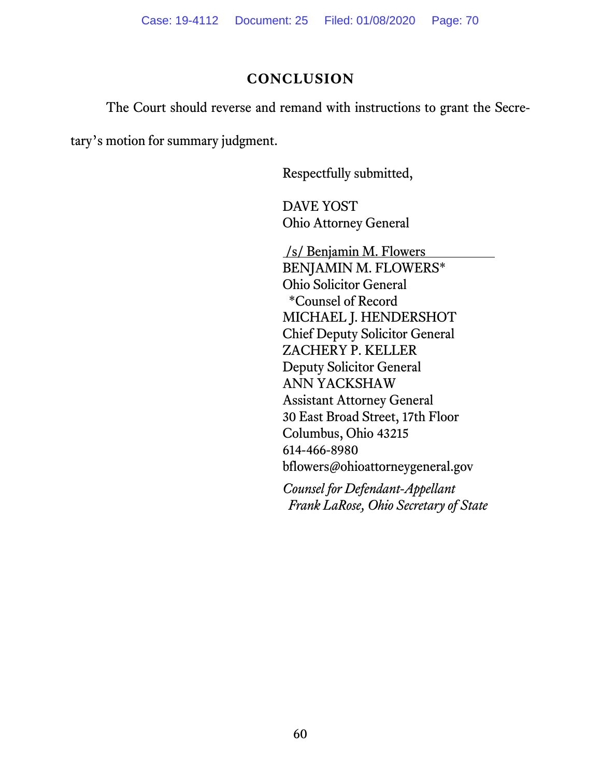# **CONCLUSION**

The Court should reverse and remand with instructions to grant the Secre-

tary's motion for summary judgment.

Respectfully submitted,

DAVE YOST Ohio Attorney General

/s/ Benjamin M. Flowers BENJAMIN M. FLOWERS\* Ohio Solicitor General \*Counsel of Record MICHAEL J. HENDERSHOT Chief Deputy Solicitor General ZACHERY P. KELLER Deputy Solicitor General ANN YACKSHAW Assistant Attorney General 30 East Broad Street, 17th Floor Columbus, Ohio 43215 614-466-8980 bflowers@ohioattorneygeneral.gov

*Counsel for Defendant-Appellant Frank LaRose, Ohio Secretary of State*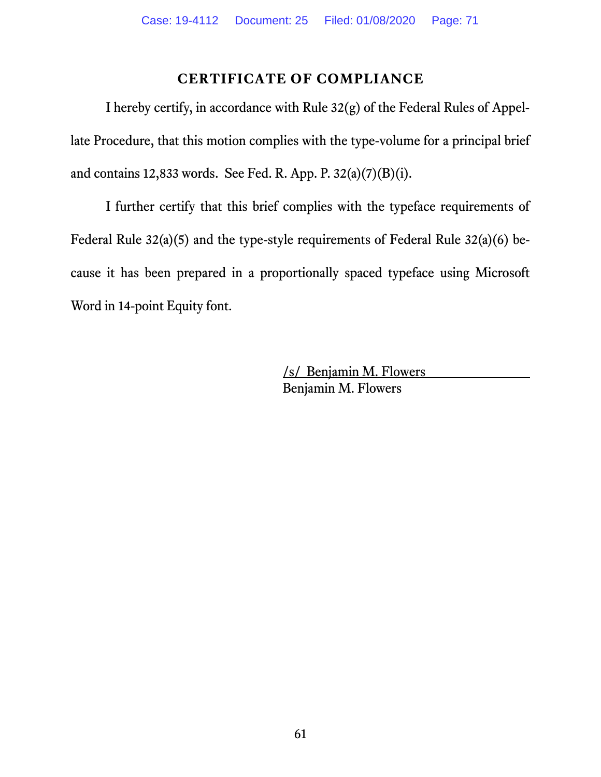# **CERTIFICATE OF COMPLIANCE**

I hereby certify, in accordance with Rule 32(g) of the Federal Rules of Appellate Procedure, that this motion complies with the type-volume for a principal brief and contains 12,833 words. See Fed. R. App. P. 32(a)(7)(B)(i).

I further certify that this brief complies with the typeface requirements of Federal Rule 32(a)(5) and the type-style requirements of Federal Rule 32(a)(6) because it has been prepared in a proportionally spaced typeface using Microsoft Word in 14-point Equity font.

> /s/ Benjamin M. Flowers Benjamin M. Flowers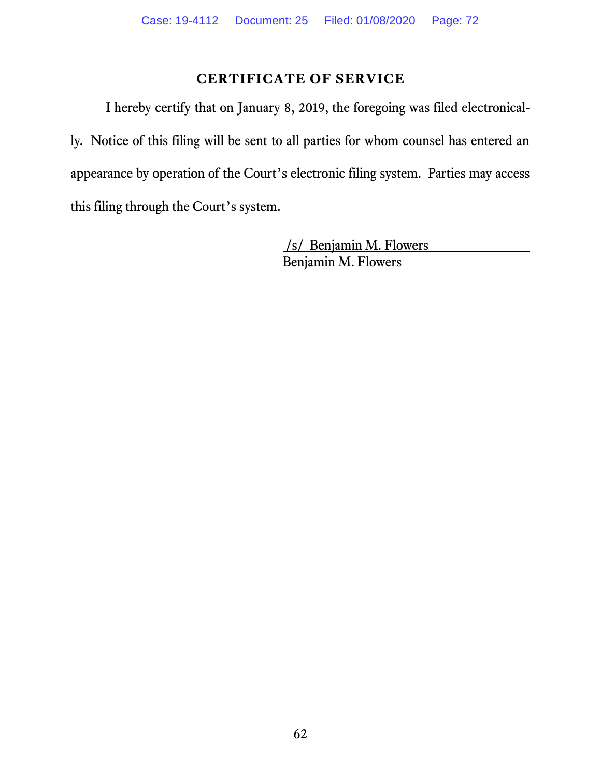# **CERTIFICATE OF SERVICE**

I hereby certify that on January 8, 2019, the foregoing was filed electronically. Notice of this filing will be sent to all parties for whom counsel has entered an appearance by operation of the Court's electronic filing system. Parties may access this filing through the Court's system.

> /s/ Benjamin M. Flowers Benjamin M. Flowers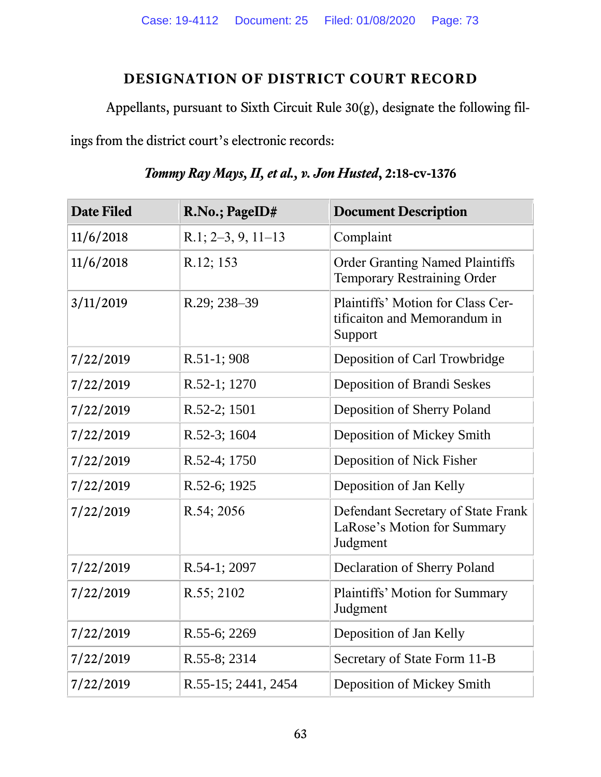## **DESIGNATION OF DISTRICT COURT RECORD**

Appellants, pursuant to Sixth Circuit Rule 30(g), designate the following fil-

ings from the district court's electronic records:

| <b>Date Filed</b> | R.No.; PageID#       | <b>Document Description</b>                                                   |
|-------------------|----------------------|-------------------------------------------------------------------------------|
| 11/6/2018         | $R.1; 2-3, 9, 11-13$ | Complaint                                                                     |
| 11/6/2018         | R.12; 153            | <b>Order Granting Named Plaintiffs</b><br>Temporary Restraining Order         |
| 3/11/2019         | R.29; 238-39         | Plaintiffs' Motion for Class Cer-<br>tificaiton and Memorandum in<br>Support  |
| 7/22/2019         | $R.51-1;908$         | Deposition of Carl Trowbridge                                                 |
| 7/22/2019         | R.52-1; 1270         | <b>Deposition of Brandi Seskes</b>                                            |
| 7/22/2019         | R.52-2; 1501         | Deposition of Sherry Poland                                                   |
| 7/22/2019         | R.52-3; 1604         | Deposition of Mickey Smith                                                    |
| 7/22/2019         | R.52-4; 1750         | Deposition of Nick Fisher                                                     |
| 7/22/2019         | R.52-6; 1925         | Deposition of Jan Kelly                                                       |
| 7/22/2019         | R.54; 2056           | Defendant Secretary of State Frank<br>LaRose's Motion for Summary<br>Judgment |
| 7/22/2019         | R.54-1; 2097         | Declaration of Sherry Poland                                                  |
| 7/22/2019         | R.55; 2102           | Plaintiffs' Motion for Summary<br>Judgment                                    |
| 7/22/2019         | R.55-6; 2269         | Deposition of Jan Kelly                                                       |
| 7/22/2019         | R.55-8; 2314         | Secretary of State Form 11-B                                                  |
| 7/22/2019         | R.55-15; 2441, 2454  | Deposition of Mickey Smith                                                    |

*Tommy Ray Mays, II, et al., v. Jon Husted***, 2:18-cv-1376**